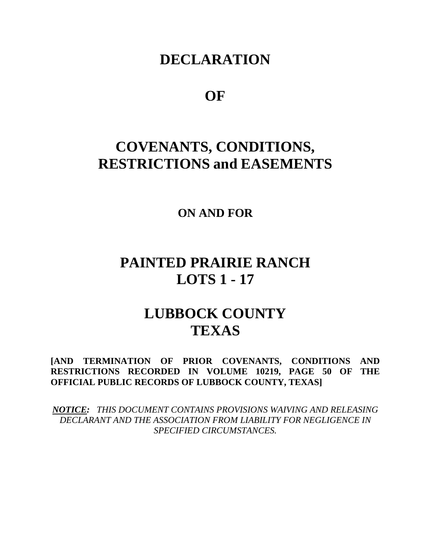## **DECLARATION**

## **OF**

# **COVENANTS, CONDITIONS, RESTRICTIONS and EASEMENTS**

**ON AND FOR**

## **PAINTED PRAIRIE RANCH LOTS 1 - 17**

# **LUBBOCK COUNTY TEXAS**

**[AND TERMINATION OF PRIOR COVENANTS, CONDITIONS AND RESTRICTIONS RECORDED IN VOLUME 10219, PAGE 50 OF THE OFFICIAL PUBLIC RECORDS OF LUBBOCK COUNTY, TEXAS]**

*NOTICE: THIS DOCUMENT CONTAINS PROVISIONS WAIVING AND RELEASING DECLARANT AND THE ASSOCIATION FROM LIABILITY FOR NEGLIGENCE IN SPECIFIED CIRCUMSTANCES.*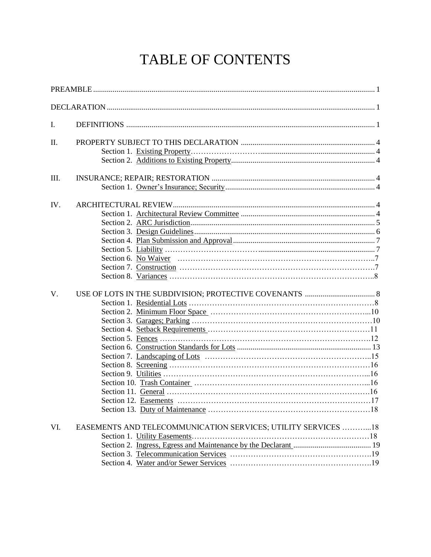# TABLE OF CONTENTS

| I.          |                                                               |  |
|-------------|---------------------------------------------------------------|--|
| Π.          |                                                               |  |
| III.        |                                                               |  |
| IV.         |                                                               |  |
| $V_{\cdot}$ |                                                               |  |
| VI.         | EASEMENTS AND TELECOMMUNICATION SERVICES; UTILITY SERVICES 18 |  |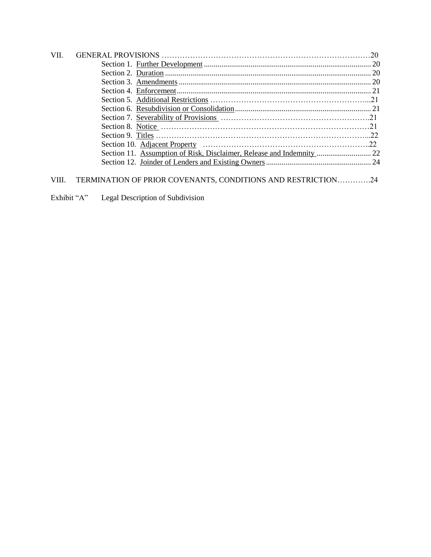| <b>VII</b> |                                                                       |  |
|------------|-----------------------------------------------------------------------|--|
|            |                                                                       |  |
|            |                                                                       |  |
|            |                                                                       |  |
|            |                                                                       |  |
|            |                                                                       |  |
|            |                                                                       |  |
|            |                                                                       |  |
|            |                                                                       |  |
|            |                                                                       |  |
|            |                                                                       |  |
|            | Section 11. Assumption of Risk, Disclaimer, Release and Indemnity  22 |  |
|            |                                                                       |  |
|            |                                                                       |  |
|            |                                                                       |  |

## VIII. TERMINATION OF PRIOR COVENANTS, CONDITIONS AND RESTRICTION………….24

Exhibit "A" Legal Description of Subdivision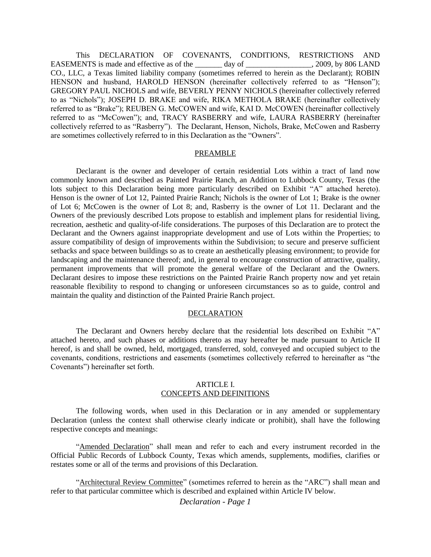This DECLARATION OF COVENANTS, CONDITIONS, RESTRICTIONS AND EASEMENTS is made and effective as of the \_\_\_\_\_\_ day of \_\_\_\_\_\_\_\_\_\_\_\_\_\_, 2009, by 806 LAND CO., LLC, a Texas limited liability company (sometimes referred to herein as the Declarant); ROBIN HENSON and husband, HAROLD HENSON (hereinafter collectively referred to as "Henson"); GREGORY PAUL NICHOLS and wife, BEVERLY PENNY NICHOLS (hereinafter collectively referred to as "Nichols"); JOSEPH D. BRAKE and wife, RIKA METHOLA BRAKE (hereinafter collectively referred to as "Brake"); REUBEN G. McCOWEN and wife, KAI D. McCOWEN (hereinafter collectively referred to as "McCowen"); and, TRACY RASBERRY and wife, LAURA RASBERRY (hereinafter collectively referred to as "Rasberry"). The Declarant, Henson, Nichols, Brake, McCowen and Rasberry are sometimes collectively referred to in this Declaration as the "Owners".

#### PREAMBLE

Declarant is the owner and developer of certain residential Lots within a tract of land now commonly known and described as Painted Prairie Ranch, an Addition to Lubbock County, Texas (the lots subject to this Declaration being more particularly described on Exhibit "A" attached hereto). Henson is the owner of Lot 12, Painted Prairie Ranch; Nichols is the owner of Lot 1; Brake is the owner of Lot 6; McCowen is the owner of Lot 8; and, Rasberry is the owner of Lot 11. Declarant and the Owners of the previously described Lots propose to establish and implement plans for residential living, recreation, aesthetic and quality-of-life considerations. The purposes of this Declaration are to protect the Declarant and the Owners against inappropriate development and use of Lots within the Properties; to assure compatibility of design of improvements within the Subdivision; to secure and preserve sufficient setbacks and space between buildings so as to create an aesthetically pleasing environment; to provide for landscaping and the maintenance thereof; and, in general to encourage construction of attractive, quality, permanent improvements that will promote the general welfare of the Declarant and the Owners. Declarant desires to impose these restrictions on the Painted Prairie Ranch property now and yet retain reasonable flexibility to respond to changing or unforeseen circumstances so as to guide, control and maintain the quality and distinction of the Painted Prairie Ranch project.

#### DECLARATION

The Declarant and Owners hereby declare that the residential lots described on Exhibit "A" attached hereto, and such phases or additions thereto as may hereafter be made pursuant to Article II hereof, is and shall be owned, held, mortgaged, transferred, sold, conveyed and occupied subject to the covenants, conditions, restrictions and easements (sometimes collectively referred to hereinafter as "the Covenants") hereinafter set forth.

#### ARTICLE I. CONCEPTS AND DEFINITIONS

The following words, when used in this Declaration or in any amended or supplementary Declaration (unless the context shall otherwise clearly indicate or prohibit), shall have the following respective concepts and meanings:

"Amended Declaration" shall mean and refer to each and every instrument recorded in the Official Public Records of Lubbock County, Texas which amends, supplements, modifies, clarifies or restates some or all of the terms and provisions of this Declaration.

 "Architectural Review Committee" (sometimes referred to herein as the "ARC") shall mean and refer to that particular committee which is described and explained within Article IV below.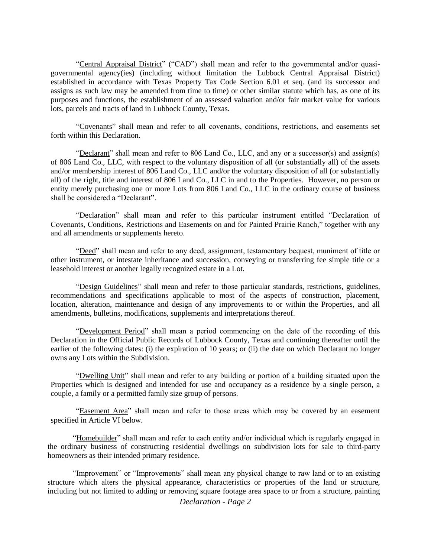"Central Appraisal District" ("CAD") shall mean and refer to the governmental and/or quasigovernmental agency(ies) (including without limitation the Lubbock Central Appraisal District) established in accordance with Texas Property Tax Code Section 6.01 et seq. (and its successor and assigns as such law may be amended from time to time) or other similar statute which has, as one of its purposes and functions, the establishment of an assessed valuation and/or fair market value for various lots, parcels and tracts of land in Lubbock County, Texas.

"Covenants" shall mean and refer to all covenants, conditions, restrictions, and easements set forth within this Declaration.

"Declarant" shall mean and refer to 806 Land Co., LLC, and any or a successor(s) and assign(s) of 806 Land Co., LLC, with respect to the voluntary disposition of all (or substantially all) of the assets and/or membership interest of 806 Land Co., LLC and/or the voluntary disposition of all (or substantially all) of the right, title and interest of 806 Land Co., LLC in and to the Properties. However, no person or entity merely purchasing one or more Lots from 806 Land Co., LLC in the ordinary course of business shall be considered a "Declarant".

"Declaration" shall mean and refer to this particular instrument entitled "Declaration of Covenants, Conditions, Restrictions and Easements on and for Painted Prairie Ranch," together with any and all amendments or supplements hereto.

"Deed" shall mean and refer to any deed, assignment, testamentary bequest, muniment of title or other instrument, or intestate inheritance and succession, conveying or transferring fee simple title or a leasehold interest or another legally recognized estate in a Lot.

"Design Guidelines" shall mean and refer to those particular standards, restrictions, guidelines, recommendations and specifications applicable to most of the aspects of construction, placement, location, alteration, maintenance and design of any improvements to or within the Properties, and all amendments, bulletins, modifications, supplements and interpretations thereof.

"Development Period" shall mean a period commencing on the date of the recording of this Declaration in the Official Public Records of Lubbock County, Texas and continuing thereafter until the earlier of the following dates: (i) the expiration of 10 years; or (ii) the date on which Declarant no longer owns any Lots within the Subdivision.

"Dwelling Unit" shall mean and refer to any building or portion of a building situated upon the Properties which is designed and intended for use and occupancy as a residence by a single person, a couple, a family or a permitted family size group of persons.

 "Easement Area" shall mean and refer to those areas which may be covered by an easement specified in Article VI below.

"Homebuilder" shall mean and refer to each entity and/or individual which is regularly engaged in the ordinary business of constructing residential dwellings on subdivision lots for sale to third-party homeowners as their intended primary residence.

"Improvement" or "Improvements" shall mean any physical change to raw land or to an existing structure which alters the physical appearance, characteristics or properties of the land or structure, including but not limited to adding or removing square footage area space to or from a structure, painting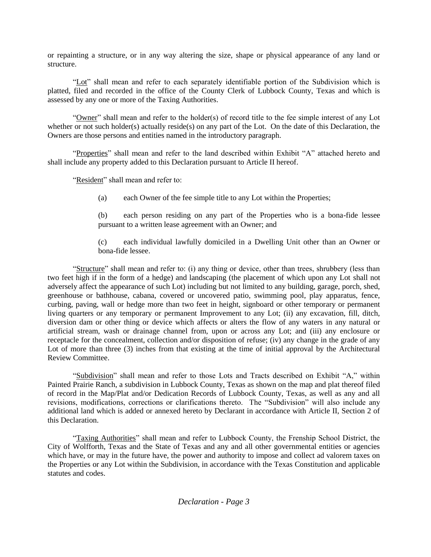or repainting a structure, or in any way altering the size, shape or physical appearance of any land or structure.

"Lot" shall mean and refer to each separately identifiable portion of the Subdivision which is platted, filed and recorded in the office of the County Clerk of Lubbock County, Texas and which is assessed by any one or more of the Taxing Authorities.

"Owner" shall mean and refer to the holder(s) of record title to the fee simple interest of any Lot whether or not such holder(s) actually reside(s) on any part of the Lot. On the date of this Declaration, the Owners are those persons and entities named in the introductory paragraph.

"Properties" shall mean and refer to the land described within Exhibit "A" attached hereto and shall include any property added to this Declaration pursuant to Article II hereof.

"Resident" shall mean and refer to:

(a) each Owner of the fee simple title to any Lot within the Properties;

(b) each person residing on any part of the Properties who is a bona-fide lessee pursuant to a written lease agreement with an Owner; and

(c) each individual lawfully domiciled in a Dwelling Unit other than an Owner or bona-fide lessee.

"Structure" shall mean and refer to: (i) any thing or device, other than trees, shrubbery (less than two feet high if in the form of a hedge) and landscaping (the placement of which upon any Lot shall not adversely affect the appearance of such Lot) including but not limited to any building, garage, porch, shed, greenhouse or bathhouse, cabana, covered or uncovered patio, swimming pool, play apparatus, fence, curbing, paving, wall or hedge more than two feet in height, signboard or other temporary or permanent living quarters or any temporary or permanent Improvement to any Lot; (ii) any excavation, fill, ditch, diversion dam or other thing or device which affects or alters the flow of any waters in any natural or artificial stream, wash or drainage channel from, upon or across any Lot; and (iii) any enclosure or receptacle for the concealment, collection and/or disposition of refuse; (iv) any change in the grade of any Lot of more than three (3) inches from that existing at the time of initial approval by the Architectural Review Committee.

"Subdivision" shall mean and refer to those Lots and Tracts described on Exhibit "A," within Painted Prairie Ranch, a subdivision in Lubbock County, Texas as shown on the map and plat thereof filed of record in the Map/Plat and/or Dedication Records of Lubbock County, Texas, as well as any and all revisions, modifications, corrections or clarifications thereto. The "Subdivision" will also include any additional land which is added or annexed hereto by Declarant in accordance with Article II, Section 2 of this Declaration.

"Taxing Authorities" shall mean and refer to Lubbock County, the Frenship School District, the City of Wolfforth, Texas and the State of Texas and any and all other governmental entities or agencies which have, or may in the future have, the power and authority to impose and collect ad valorem taxes on the Properties or any Lot within the Subdivision, in accordance with the Texas Constitution and applicable statutes and codes.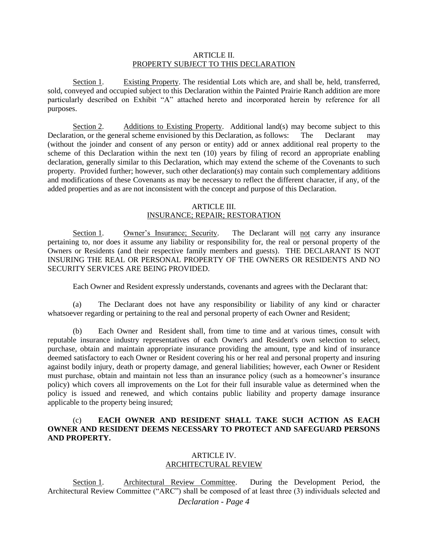#### ARTICLE II. PROPERTY SUBJECT TO THIS DECLARATION

Section 1. Existing Property. The residential Lots which are, and shall be, held, transferred, sold, conveyed and occupied subject to this Declaration within the Painted Prairie Ranch addition are more particularly described on Exhibit "A" attached hereto and incorporated herein by reference for all purposes.

Section 2. Additions to Existing Property. Additional land(s) may become subject to this Declaration, or the general scheme envisioned by this Declaration, as follows: The Declarant may (without the joinder and consent of any person or entity) add or annex additional real property to the scheme of this Declaration within the next ten (10) years by filing of record an appropriate enabling declaration, generally similar to this Declaration, which may extend the scheme of the Covenants to such property. Provided further; however, such other declaration(s) may contain such complementary additions and modifications of these Covenants as may be necessary to reflect the different character, if any, of the added properties and as are not inconsistent with the concept and purpose of this Declaration.

#### ARTICLE III.

#### INSURANCE; REPAIR; RESTORATION

Section 1. Owner's Insurance; Security. The Declarant will not carry any insurance pertaining to, nor does it assume any liability or responsibility for, the real or personal property of the Owners or Residents (and their respective family members and guests). THE DECLARANT IS NOT INSURING THE REAL OR PERSONAL PROPERTY OF THE OWNERS OR RESIDENTS AND NO SECURITY SERVICES ARE BEING PROVIDED.

Each Owner and Resident expressly understands, covenants and agrees with the Declarant that:

(a) The Declarant does not have any responsibility or liability of any kind or character whatsoever regarding or pertaining to the real and personal property of each Owner and Resident;

(b) Each Owner and Resident shall, from time to time and at various times, consult with reputable insurance industry representatives of each Owner's and Resident's own selection to select, purchase, obtain and maintain appropriate insurance providing the amount, type and kind of insurance deemed satisfactory to each Owner or Resident covering his or her real and personal property and insuring against bodily injury, death or property damage, and general liabilities; however, each Owner or Resident must purchase, obtain and maintain not less than an insurance policy (such as a homeowner's insurance policy) which covers all improvements on the Lot for their full insurable value as determined when the policy is issued and renewed, and which contains public liability and property damage insurance applicable to the property being insured;

#### (c) **EACH OWNER AND RESIDENT SHALL TAKE SUCH ACTION AS EACH OWNER AND RESIDENT DEEMS NECESSARY TO PROTECT AND SAFEGUARD PERSONS AND PROPERTY.**

#### ARTICLE IV. ARCHITECTURAL REVIEW

*Declaration - Page 4* Section 1. Architectural Review Committee. During the Development Period, the Architectural Review Committee ("ARC") shall be composed of at least three (3) individuals selected and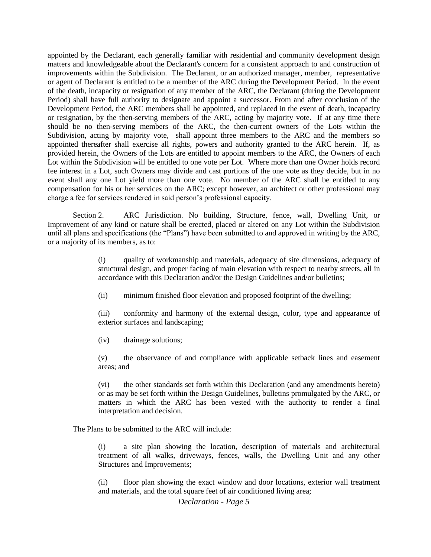appointed by the Declarant, each generally familiar with residential and community development design matters and knowledgeable about the Declarant's concern for a consistent approach to and construction of improvements within the Subdivision. The Declarant, or an authorized manager, member, representative or agent of Declarant is entitled to be a member of the ARC during the Development Period. In the event of the death, incapacity or resignation of any member of the ARC, the Declarant (during the Development Period) shall have full authority to designate and appoint a successor. From and after conclusion of the Development Period, the ARC members shall be appointed, and replaced in the event of death, incapacity or resignation, by the then-serving members of the ARC, acting by majority vote. If at any time there should be no then-serving members of the ARC, the then-current owners of the Lots within the Subdivision, acting by majority vote, shall appoint three members to the ARC and the members so appointed thereafter shall exercise all rights, powers and authority granted to the ARC herein. If, as provided herein, the Owners of the Lots are entitled to appoint members to the ARC, the Owners of each Lot within the Subdivision will be entitled to one vote per Lot. Where more than one Owner holds record fee interest in a Lot, such Owners may divide and cast portions of the one vote as they decide, but in no event shall any one Lot yield more than one vote. No member of the ARC shall be entitled to any compensation for his or her services on the ARC; except however, an architect or other professional may charge a fee for services rendered in said person's professional capacity.

Section 2. ARC Jurisdiction. No building, Structure, fence, wall, Dwelling Unit, or Improvement of any kind or nature shall be erected, placed or altered on any Lot within the Subdivision until all plans and specifications (the "Plans") have been submitted to and approved in writing by the ARC, or a majority of its members, as to:

> (i) quality of workmanship and materials, adequacy of site dimensions, adequacy of structural design, and proper facing of main elevation with respect to nearby streets, all in accordance with this Declaration and/or the Design Guidelines and/or bulletins;

(ii) minimum finished floor elevation and proposed footprint of the dwelling;

(iii) conformity and harmony of the external design, color, type and appearance of exterior surfaces and landscaping;

(iv) drainage solutions;

 (v) the observance of and compliance with applicable setback lines and easement areas; and

(vi) the other standards set forth within this Declaration (and any amendments hereto) or as may be set forth within the Design Guidelines, bulletins promulgated by the ARC, or matters in which the ARC has been vested with the authority to render a final interpretation and decision.

The Plans to be submitted to the ARC will include:

(i) a site plan showing the location, description of materials and architectural treatment of all walks, driveways, fences, walls, the Dwelling Unit and any other Structures and Improvements;

(ii) floor plan showing the exact window and door locations, exterior wall treatment and materials, and the total square feet of air conditioned living area;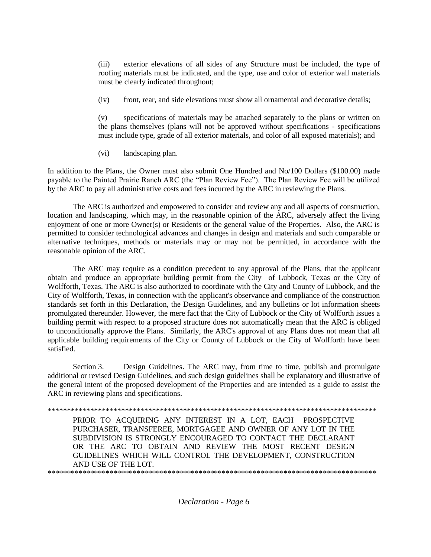(iii) exterior elevations of all sides of any Structure must be included, the type of roofing materials must be indicated, and the type, use and color of exterior wall materials must be clearly indicated throughout;

(iv) front, rear, and side elevations must show all ornamental and decorative details;

(v) specifications of materials may be attached separately to the plans or written on the plans themselves (plans will not be approved without specifications - specifications must include type, grade of all exterior materials, and color of all exposed materials); and

(vi) landscaping plan.

In addition to the Plans, the Owner must also submit One Hundred and No/100 Dollars (\$100.00) made payable to the Painted Prairie Ranch ARC (the "Plan Review Fee"). The Plan Review Fee will be utilized by the ARC to pay all administrative costs and fees incurred by the ARC in reviewing the Plans.

The ARC is authorized and empowered to consider and review any and all aspects of construction, location and landscaping, which may, in the reasonable opinion of the ARC, adversely affect the living enjoyment of one or more Owner(s) or Residents or the general value of the Properties. Also, the ARC is permitted to consider technological advances and changes in design and materials and such comparable or alternative techniques, methods or materials may or may not be permitted, in accordance with the reasonable opinion of the ARC.

The ARC may require as a condition precedent to any approval of the Plans, that the applicant obtain and produce an appropriate building permit from the City of Lubbock, Texas or the City of Wolfforth, Texas. The ARC is also authorized to coordinate with the City and County of Lubbock, and the City of Wolfforth, Texas, in connection with the applicant's observance and compliance of the construction standards set forth in this Declaration, the Design Guidelines, and any bulletins or lot information sheets promulgated thereunder. However, the mere fact that the City of Lubbock or the City of Wolfforth issues a building permit with respect to a proposed structure does not automatically mean that the ARC is obliged to unconditionally approve the Plans. Similarly, the ARC's approval of any Plans does not mean that all applicable building requirements of the City or County of Lubbock or the City of Wolfforth have been satisfied.

Section 3. Design Guidelines. The ARC may, from time to time, publish and promulgate additional or revised Design Guidelines, and such design guidelines shall be explanatory and illustrative of the general intent of the proposed development of the Properties and are intended as a guide to assist the ARC in reviewing plans and specifications.

\*\*\*\*\*\*\*\*\*\*\*\*\*\*\*\*\*\*\*\*\*\*\*\*\*\*\*\*\*\*\*\*\*\*\*\*\*\*\*\*\*\*\*\*\*\*\*\*\*\*\*\*\*\*\*\*\*\*\*\*\*\*\*\*\*\*\*\*\*\*\*\*\*\*\*\*\*\*\*\*\*\*\*\*\* PRIOR TO ACQUIRING ANY INTEREST IN A LOT, EACH PROSPECTIVE PURCHASER, TRANSFEREE, MORTGAGEE AND OWNER OF ANY LOT IN THE SUBDIVISION IS STRONGLY ENCOURAGED TO CONTACT THE DECLARANT OR THE ARC TO OBTAIN AND REVIEW THE MOST RECENT DESIGN GUIDELINES WHICH WILL CONTROL THE DEVELOPMENT, CONSTRUCTION AND USE OF THE LOT. \*\*\*\*\*\*\*\*\*\*\*\*\*\*\*\*\*\*\*\*\*\*\*\*\*\*\*\*\*\*\*\*\*\*\*\*\*\*\*\*\*\*\*\*\*\*\*\*\*\*\*\*\*\*\*\*\*\*\*\*\*\*\*\*\*\*\*\*\*\*\*\*\*\*\*\*\*\*\*\*\*\*\*\*\*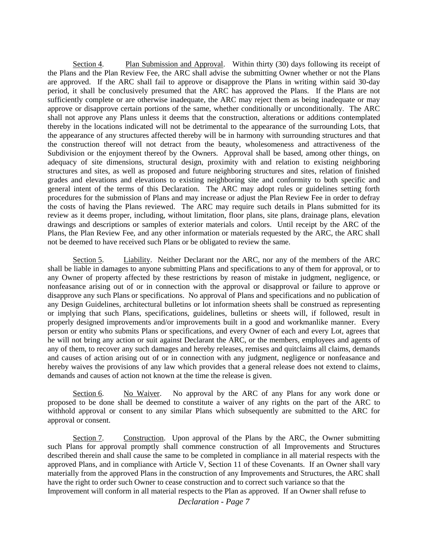Section 4. Plan Submission and Approval. Within thirty (30) days following its receipt of the Plans and the Plan Review Fee, the ARC shall advise the submitting Owner whether or not the Plans are approved. If the ARC shall fail to approve or disapprove the Plans in writing within said 30-day period, it shall be conclusively presumed that the ARC has approved the Plans. If the Plans are not sufficiently complete or are otherwise inadequate, the ARC may reject them as being inadequate or may approve or disapprove certain portions of the same, whether conditionally or unconditionally. The ARC shall not approve any Plans unless it deems that the construction, alterations or additions contemplated thereby in the locations indicated will not be detrimental to the appearance of the surrounding Lots, that the appearance of any structures affected thereby will be in harmony with surrounding structures and that the construction thereof will not detract from the beauty, wholesomeness and attractiveness of the Subdivision or the enjoyment thereof by the Owners. Approval shall be based, among other things, on adequacy of site dimensions, structural design, proximity with and relation to existing neighboring structures and sites, as well as proposed and future neighboring structures and sites, relation of finished grades and elevations and elevations to existing neighboring site and conformity to both specific and general intent of the terms of this Declaration. The ARC may adopt rules or guidelines setting forth procedures for the submission of Plans and may increase or adjust the Plan Review Fee in order to defray the costs of having the Plans reviewed. The ARC may require such details in Plans submitted for its review as it deems proper, including, without limitation, floor plans, site plans, drainage plans, elevation drawings and descriptions or samples of exterior materials and colors. Until receipt by the ARC of the Plans, the Plan Review Fee, and any other information or materials requested by the ARC, the ARC shall not be deemed to have received such Plans or be obligated to review the same.

Section 5. Liability. Neither Declarant nor the ARC, nor any of the members of the ARC shall be liable in damages to anyone submitting Plans and specifications to any of them for approval, or to any Owner of property affected by these restrictions by reason of mistake in judgment, negligence, or nonfeasance arising out of or in connection with the approval or disapproval or failure to approve or disapprove any such Plans or specifications. No approval of Plans and specifications and no publication of any Design Guidelines, architectural bulletins or lot information sheets shall be construed as representing or implying that such Plans, specifications, guidelines, bulletins or sheets will, if followed, result in properly designed improvements and/or improvements built in a good and workmanlike manner. Every person or entity who submits Plans or specifications, and every Owner of each and every Lot, agrees that he will not bring any action or suit against Declarant the ARC, or the members, employees and agents of any of them, to recover any such damages and hereby releases, remises and quitclaims all claims, demands and causes of action arising out of or in connection with any judgment, negligence or nonfeasance and hereby waives the provisions of any law which provides that a general release does not extend to claims, demands and causes of action not known at the time the release is given.

Section 6. No Waiver. No approval by the ARC of any Plans for any work done or proposed to be done shall be deemed to constitute a waiver of any rights on the part of the ARC to withhold approval or consent to any similar Plans which subsequently are submitted to the ARC for approval or consent.

Section 7. Construction. Upon approval of the Plans by the ARC, the Owner submitting such Plans for approval promptly shall commence construction of all Improvements and Structures described therein and shall cause the same to be completed in compliance in all material respects with the approved Plans, and in compliance with Article V, Section 11 of these Covenants. If an Owner shall vary materially from the approved Plans in the construction of any Improvements and Structures, the ARC shall have the right to order such Owner to cease construction and to correct such variance so that the Improvement will conform in all material respects to the Plan as approved. If an Owner shall refuse to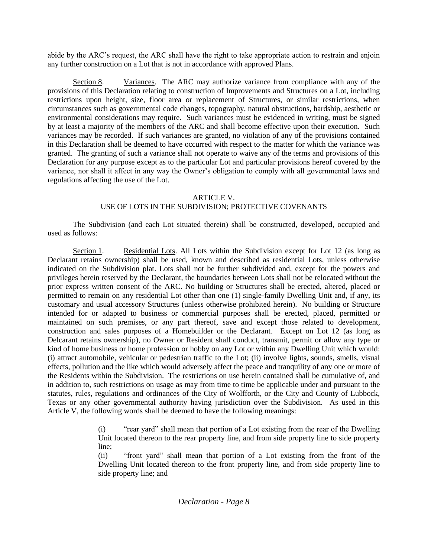abide by the ARC's request, the ARC shall have the right to take appropriate action to restrain and enjoin any further construction on a Lot that is not in accordance with approved Plans.

Section 8. Variances. The ARC may authorize variance from compliance with any of the provisions of this Declaration relating to construction of Improvements and Structures on a Lot, including restrictions upon height, size, floor area or replacement of Structures, or similar restrictions, when circumstances such as governmental code changes, topography, natural obstructions, hardship, aesthetic or environmental considerations may require. Such variances must be evidenced in writing, must be signed by at least a majority of the members of the ARC and shall become effective upon their execution. Such variances may be recorded. If such variances are granted, no violation of any of the provisions contained in this Declaration shall be deemed to have occurred with respect to the matter for which the variance was granted. The granting of such a variance shall not operate to waive any of the terms and provisions of this Declaration for any purpose except as to the particular Lot and particular provisions hereof covered by the variance, nor shall it affect in any way the Owner's obligation to comply with all governmental laws and regulations affecting the use of the Lot.

#### ARTICLE V. USE OF LOTS IN THE SUBDIVISION; PROTECTIVE COVENANTS

The Subdivision (and each Lot situated therein) shall be constructed, developed, occupied and used as follows:

Section 1. Residential Lots. All Lots within the Subdivision except for Lot 12 (as long as Declarant retains ownership) shall be used, known and described as residential Lots, unless otherwise indicated on the Subdivision plat. Lots shall not be further subdivided and, except for the powers and privileges herein reserved by the Declarant, the boundaries between Lots shall not be relocated without the prior express written consent of the ARC. No building or Structures shall be erected, altered, placed or permitted to remain on any residential Lot other than one (1) single-family Dwelling Unit and, if any, its customary and usual accessory Structures (unless otherwise prohibited herein). No building or Structure intended for or adapted to business or commercial purposes shall be erected, placed, permitted or maintained on such premises, or any part thereof, save and except those related to development, construction and sales purposes of a Homebuilder or the Declarant. Except on Lot 12 (as long as Delcarant retains ownership), no Owner or Resident shall conduct, transmit, permit or allow any type or kind of home business or home profession or hobby on any Lot or within any Dwelling Unit which would: (i) attract automobile, vehicular or pedestrian traffic to the Lot; (ii) involve lights, sounds, smells, visual effects, pollution and the like which would adversely affect the peace and tranquility of any one or more of the Residents within the Subdivision. The restrictions on use herein contained shall be cumulative of, and in addition to, such restrictions on usage as may from time to time be applicable under and pursuant to the statutes, rules, regulations and ordinances of the City of Wolfforth, or the City and County of Lubbock, Texas or any other governmental authority having jurisdiction over the Subdivision. As used in this Article V, the following words shall be deemed to have the following meanings:

> (i) "rear yard" shall mean that portion of a Lot existing from the rear of the Dwelling Unit located thereon to the rear property line, and from side property line to side property line;

> (ii) "front yard" shall mean that portion of a Lot existing from the front of the Dwelling Unit located thereon to the front property line, and from side property line to side property line; and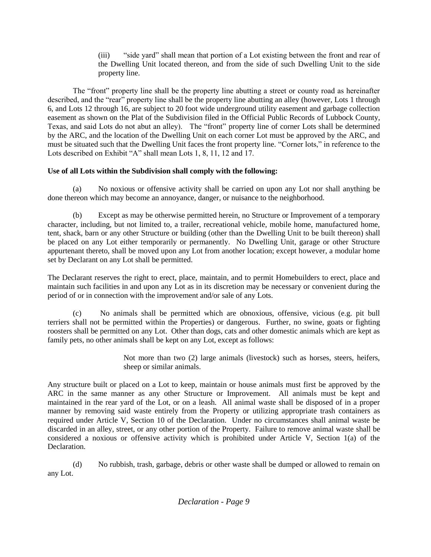(iii) "side yard" shall mean that portion of a Lot existing between the front and rear of the Dwelling Unit located thereon, and from the side of such Dwelling Unit to the side property line.

The "front" property line shall be the property line abutting a street or county road as hereinafter described, and the "rear" property line shall be the property line abutting an alley (however, Lots 1 through 6, and Lots 12 through 16, are subject to 20 foot wide underground utility easement and garbage collection easement as shown on the Plat of the Subdivision filed in the Official Public Records of Lubbock County, Texas, and said Lots do not abut an alley). The "front" property line of corner Lots shall be determined by the ARC, and the location of the Dwelling Unit on each corner Lot must be approved by the ARC, and must be situated such that the Dwelling Unit faces the front property line. "Corner lots," in reference to the Lots described on Exhibit "A" shall mean Lots 1, 8, 11, 12 and 17.

## **Use of all Lots within the Subdivision shall comply with the following:**

(a) No noxious or offensive activity shall be carried on upon any Lot nor shall anything be done thereon which may become an annoyance, danger, or nuisance to the neighborhood.

(b) Except as may be otherwise permitted herein, no Structure or Improvement of a temporary character, including, but not limited to, a trailer, recreational vehicle, mobile home, manufactured home, tent, shack, barn or any other Structure or building (other than the Dwelling Unit to be built thereon) shall be placed on any Lot either temporarily or permanently. No Dwelling Unit, garage or other Structure appurtenant thereto, shall be moved upon any Lot from another location; except however, a modular home set by Declarant on any Lot shall be permitted.

The Declarant reserves the right to erect, place, maintain, and to permit Homebuilders to erect, place and maintain such facilities in and upon any Lot as in its discretion may be necessary or convenient during the period of or in connection with the improvement and/or sale of any Lots.

(c) No animals shall be permitted which are obnoxious, offensive, vicious (e.g. pit bull terriers shall not be permitted within the Properties) or dangerous. Further, no swine, goats or fighting roosters shall be permitted on any Lot. Other than dogs, cats and other domestic animals which are kept as family pets, no other animals shall be kept on any Lot, except as follows:

> Not more than two (2) large animals (livestock) such as horses, steers, heifers, sheep or similar animals.

Any structure built or placed on a Lot to keep, maintain or house animals must first be approved by the ARC in the same manner as any other Structure or Improvement. All animals must be kept and maintained in the rear yard of the Lot, or on a leash. All animal waste shall be disposed of in a proper manner by removing said waste entirely from the Property or utilizing appropriate trash containers as required under Article V, Section 10 of the Declaration. Under no circumstances shall animal waste be discarded in an alley, street, or any other portion of the Property. Failure to remove animal waste shall be considered a noxious or offensive activity which is prohibited under Article V, Section 1(a) of the Declaration.

(d) No rubbish, trash, garbage, debris or other waste shall be dumped or allowed to remain on any Lot.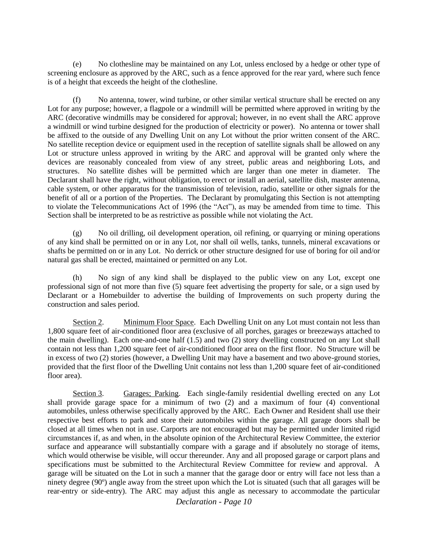(e) No clothesline may be maintained on any Lot, unless enclosed by a hedge or other type of screening enclosure as approved by the ARC, such as a fence approved for the rear yard, where such fence is of a height that exceeds the height of the clothesline.

(f) No antenna, tower, wind turbine, or other similar vertical structure shall be erected on any Lot for any purpose; however, a flagpole or a windmill will be permitted where approved in writing by the ARC (decorative windmills may be considered for approval; however, in no event shall the ARC approve a windmill or wind turbine designed for the production of electricity or power). No antenna or tower shall be affixed to the outside of any Dwelling Unit on any Lot without the prior written consent of the ARC. No satellite reception device or equipment used in the reception of satellite signals shall be allowed on any Lot or structure unless approved in writing by the ARC and approval will be granted only where the devices are reasonably concealed from view of any street, public areas and neighboring Lots, and structures. No satellite dishes will be permitted which are larger than one meter in diameter. The Declarant shall have the right, without obligation, to erect or install an aerial, satellite dish, master antenna, cable system, or other apparatus for the transmission of television, radio, satellite or other signals for the benefit of all or a portion of the Properties. The Declarant by promulgating this Section is not attempting to violate the Telecommunications Act of 1996 (the "Act"), as may be amended from time to time. This Section shall be interpreted to be as restrictive as possible while not violating the Act.

(g) No oil drilling, oil development operation, oil refining, or quarrying or mining operations of any kind shall be permitted on or in any Lot, nor shall oil wells, tanks, tunnels, mineral excavations or shafts be permitted on or in any Lot. No derrick or other structure designed for use of boring for oil and/or natural gas shall be erected, maintained or permitted on any Lot.

(h) No sign of any kind shall be displayed to the public view on any Lot, except one professional sign of not more than five (5) square feet advertising the property for sale, or a sign used by Declarant or a Homebuilder to advertise the building of Improvements on such property during the construction and sales period.

Section 2. Minimum Floor Space. Each Dwelling Unit on any Lot must contain not less than 1,800 square feet of air-conditioned floor area (exclusive of all porches, garages or breezeways attached to the main dwelling). Each one-and-one half (1.5) and two (2) story dwelling constructed on any Lot shall contain not less than 1,200 square feet of air-conditioned floor area on the first floor. No Structure will be in excess of two (2) stories (however, a Dwelling Unit may have a basement and two above-ground stories, provided that the first floor of the Dwelling Unit contains not less than 1,200 square feet of air-conditioned floor area).

Section 3. Garages; Parking. Each single-family residential dwelling erected on any Lot shall provide garage space for a minimum of two (2) and a maximum of four (4) conventional automobiles, unless otherwise specifically approved by the ARC. Each Owner and Resident shall use their respective best efforts to park and store their automobiles within the garage. All garage doors shall be closed at all times when not in use. Carports are not encouraged but may be permitted under limited rigid circumstances if, as and when, in the absolute opinion of the Architectural Review Committee, the exterior surface and appearance will substantially compare with a garage and if absolutely no storage of items, which would otherwise be visible, will occur thereunder. Any and all proposed garage or carport plans and specifications must be submitted to the Architectural Review Committee for review and approval. A garage will be situated on the Lot in such a manner that the garage door or entry will face not less than a ninety degree (90º) angle away from the street upon which the Lot is situated (such that all garages will be rear-entry or side-entry). The ARC may adjust this angle as necessary to accommodate the particular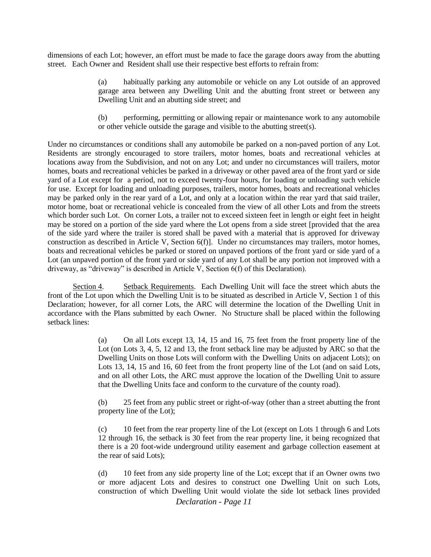dimensions of each Lot; however, an effort must be made to face the garage doors away from the abutting street. Each Owner and Resident shall use their respective best efforts to refrain from:

> (a) habitually parking any automobile or vehicle on any Lot outside of an approved garage area between any Dwelling Unit and the abutting front street or between any Dwelling Unit and an abutting side street; and

> (b) performing, permitting or allowing repair or maintenance work to any automobile or other vehicle outside the garage and visible to the abutting street(s).

Under no circumstances or conditions shall any automobile be parked on a non-paved portion of any Lot. Residents are strongly encouraged to store trailers, motor homes, boats and recreational vehicles at locations away from the Subdivision, and not on any Lot; and under no circumstances will trailers, motor homes, boats and recreational vehicles be parked in a driveway or other paved area of the front yard or side yard of a Lot except for a period, not to exceed twenty-four hours, for loading or unloading such vehicle for use. Except for loading and unloading purposes, trailers, motor homes, boats and recreational vehicles may be parked only in the rear yard of a Lot, and only at a location within the rear yard that said trailer, motor home, boat or recreational vehicle is concealed from the view of all other Lots and from the streets which border such Lot. On corner Lots, a trailer not to exceed sixteen feet in length or eight feet in height may be stored on a portion of the side yard where the Lot opens from a side street [provided that the area of the side yard where the trailer is stored shall be paved with a material that is approved for driveway construction as described in Article V, Section 6(f)]. Under no circumstances may trailers, motor homes, boats and recreational vehicles be parked or stored on unpaved portions of the front yard or side yard of a Lot (an unpaved portion of the front yard or side yard of any Lot shall be any portion not improved with a driveway, as "driveway" is described in Article V, Section 6(f) of this Declaration).

Section 4. Setback Requirements. Each Dwelling Unit will face the street which abuts the front of the Lot upon which the Dwelling Unit is to be situated as described in Article V, Section 1 of this Declaration; however, for all corner Lots, the ARC will determine the location of the Dwelling Unit in accordance with the Plans submitted by each Owner. No Structure shall be placed within the following setback lines:

> (a) On all Lots except 13, 14, 15 and 16, 75 feet from the front property line of the Lot (on Lots 3, 4, 5, 12 and 13, the front setback line may be adjusted by ARC so that the Dwelling Units on those Lots will conform with the Dwelling Units on adjacent Lots); on Lots 13, 14, 15 and 16, 60 feet from the front property line of the Lot (and on said Lots, and on all other Lots, the ARC must approve the location of the Dwelling Unit to assure that the Dwelling Units face and conform to the curvature of the county road).

> (b) 25 feet from any public street or right-of-way (other than a street abutting the front property line of the Lot);

> (c) 10 feet from the rear property line of the Lot (except on Lots 1 through 6 and Lots 12 through 16, the setback is 30 feet from the rear property line, it being recognized that there is a 20 foot-wide underground utility easement and garbage collection easement at the rear of said Lots);

> (d) 10 feet from any side property line of the Lot; except that if an Owner owns two or more adjacent Lots and desires to construct one Dwelling Unit on such Lots, construction of which Dwelling Unit would violate the side lot setback lines provided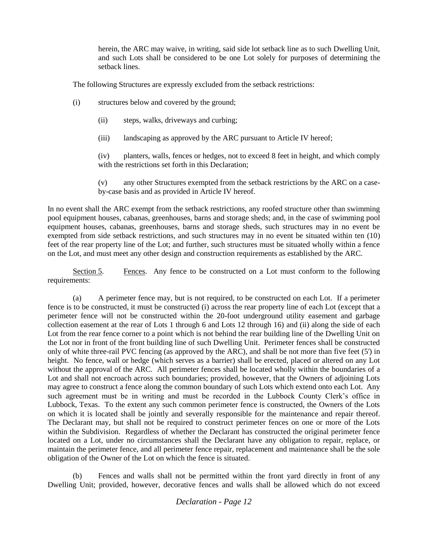herein, the ARC may waive, in writing, said side lot setback line as to such Dwelling Unit, and such Lots shall be considered to be one Lot solely for purposes of determining the setback lines.

The following Structures are expressly excluded from the setback restrictions:

- (i) structures below and covered by the ground;
	- (ii) steps, walks, driveways and curbing;
	- (iii) landscaping as approved by the ARC pursuant to Article IV hereof;

(iv) planters, walls, fences or hedges, not to exceed 8 feet in height, and which comply with the restrictions set forth in this Declaration:

(v) any other Structures exempted from the setback restrictions by the ARC on a caseby-case basis and as provided in Article IV hereof.

In no event shall the ARC exempt from the setback restrictions, any roofed structure other than swimming pool equipment houses, cabanas, greenhouses, barns and storage sheds; and, in the case of swimming pool equipment houses, cabanas, greenhouses, barns and storage sheds, such structures may in no event be exempted from side setback restrictions, and such structures may in no event be situated within ten (10) feet of the rear property line of the Lot; and further, such structures must be situated wholly within a fence on the Lot, and must meet any other design and construction requirements as established by the ARC.

Section 5. Fences. Any fence to be constructed on a Lot must conform to the following requirements:

(a) A perimeter fence may, but is not required, to be constructed on each Lot. If a perimeter fence is to be constructed, it must be constructed (i) across the rear property line of each Lot (except that a perimeter fence will not be constructed within the 20-foot underground utility easement and garbage collection easement at the rear of Lots 1 through 6 and Lots 12 through 16) and (ii) along the side of each Lot from the rear fence corner to a point which is not behind the rear building line of the Dwelling Unit on the Lot nor in front of the front building line of such Dwelling Unit. Perimeter fences shall be constructed only of white three-rail PVC fencing (as approved by the ARC), and shall be not more than five feet (5') in height. No fence, wall or hedge (which serves as a barrier) shall be erected, placed or altered on any Lot without the approval of the ARC. All perimeter fences shall be located wholly within the boundaries of a Lot and shall not encroach across such boundaries; provided, however, that the Owners of adjoining Lots may agree to construct a fence along the common boundary of such Lots which extend onto each Lot. Any such agreement must be in writing and must be recorded in the Lubbock County Clerk's office in Lubbock, Texas. To the extent any such common perimeter fence is constructed, the Owners of the Lots on which it is located shall be jointly and severally responsible for the maintenance and repair thereof. The Declarant may, but shall not be required to construct perimeter fences on one or more of the Lots within the Subdivision. Regardless of whether the Declarant has constructed the original perimeter fence located on a Lot, under no circumstances shall the Declarant have any obligation to repair, replace, or maintain the perimeter fence, and all perimeter fence repair, replacement and maintenance shall be the sole obligation of the Owner of the Lot on which the fence is situated.

(b) Fences and walls shall not be permitted within the front yard directly in front of any Dwelling Unit; provided, however, decorative fences and walls shall be allowed which do not exceed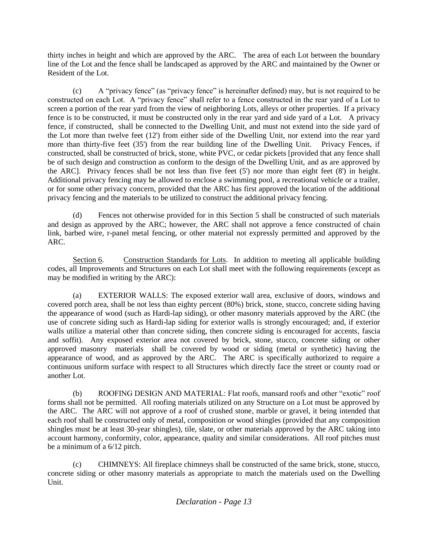thirty inches in height and which are approved by the ARC. The area of each Lot between the boundary line of the Lot and the fence shall be landscaped as approved by the ARC and maintained by the Owner or Resident of the Lot.

(c) A "privacy fence" (as "privacy fence" is hereinafter defined) may, but is not required to be constructed on each Lot. A "privacy fence" shall refer to a fence constructed in the rear yard of a Lot to screen a portion of the rear yard from the view of neighboring Lots, alleys or other properties. If a privacy fence is to be constructed, it must be constructed only in the rear yard and side yard of a Lot. A privacy fence, if constructed, shall be connected to the Dwelling Unit, and must not extend into the side yard of the Lot more than twelve feet (12') from either side of the Dwelling Unit, nor extend into the rear yard more than thirty-five feet (35') from the rear building line of the Dwelling Unit. Privacy Fences, if constructed, shall be constructed of brick, stone, white PVC, or cedar pickets [provided that any fence shall be of such design and construction as conform to the design of the Dwelling Unit, and as are approved by the ARC]. Privacy fences shall be not less than five feet (5') nor more than eight feet (8') in height. Additional privacy fencing may be allowed to enclose a swimming pool, a recreational vehicle or a trailer, or for some other privacy concern, provided that the ARC has first approved the location of the additional privacy fencing and the materials to be utilized to construct the additional privacy fencing.

(d) Fences not otherwise provided for in this Section 5 shall be constructed of such materials and design as approved by the ARC; however, the ARC shall not approve a fence constructed of chain link, barbed wire, r-panel metal fencing, or other material not expressly permitted and approved by the ARC.

Section 6. Construction Standards for Lots. In addition to meeting all applicable building codes, all Improvements and Structures on each Lot shall meet with the following requirements (except as may be modified in writing by the ARC):

(a) EXTERIOR WALLS: The exposed exterior wall area, exclusive of doors, windows and covered porch area, shall be not less than eighty percent (80%) brick, stone, stucco, concrete siding having the appearance of wood (such as Hardi-lap siding), or other masonry materials approved by the ARC (the use of concrete siding such as Hardi-lap siding for exterior walls is strongly encouraged; and, if exterior walls utilize a material other than concrete siding, then concrete siding is encouraged for accents, fascia and soffit). Any exposed exterior area not covered by brick, stone, stucco, concrete siding or other approved masonry materials shall be covered by wood or siding (metal or synthetic) having the appearance of wood, and as approved by the ARC. The ARC is specifically authorized to require a continuous uniform surface with respect to all Structures which directly face the street or county road or another Lot.

(b) ROOFING DESIGN AND MATERIAL: Flat roofs, mansard roofs and other "exotic" roof forms shall not be permitted. All roofing materials utilized on any Structure on a Lot must be approved by the ARC. The ARC will not approve of a roof of crushed stone, marble or gravel, it being intended that each roof shall be constructed only of metal, composition or wood shingles (provided that any composition shingles must be at least 30-year shingles), tile, slate, or other materials approved by the ARC taking into account harmony, conformity, color, appearance, quality and similar considerations. All roof pitches must be a minimum of a 6/12 pitch.

(c) CHIMNEYS: All fireplace chimneys shall be constructed of the same brick, stone, stucco, concrete siding or other masonry materials as appropriate to match the materials used on the Dwelling Unit.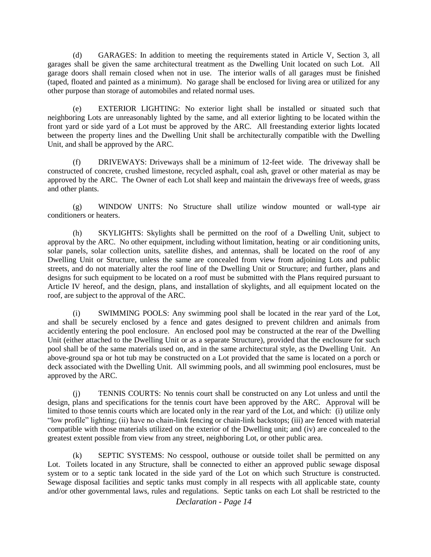(d) GARAGES: In addition to meeting the requirements stated in Article V, Section 3, all garages shall be given the same architectural treatment as the Dwelling Unit located on such Lot. All garage doors shall remain closed when not in use. The interior walls of all garages must be finished (taped, floated and painted as a minimum). No garage shall be enclosed for living area or utilized for any other purpose than storage of automobiles and related normal uses.

(e) EXTERIOR LIGHTING: No exterior light shall be installed or situated such that neighboring Lots are unreasonably lighted by the same, and all exterior lighting to be located within the front yard or side yard of a Lot must be approved by the ARC. All freestanding exterior lights located between the property lines and the Dwelling Unit shall be architecturally compatible with the Dwelling Unit, and shall be approved by the ARC.

(f) DRIVEWAYS: Driveways shall be a minimum of 12-feet wide. The driveway shall be constructed of concrete, crushed limestone, recycled asphalt, coal ash, gravel or other material as may be approved by the ARC. The Owner of each Lot shall keep and maintain the driveways free of weeds, grass and other plants.

(g) WINDOW UNITS: No Structure shall utilize window mounted or wall-type air conditioners or heaters.

(h) SKYLIGHTS: Skylights shall be permitted on the roof of a Dwelling Unit, subject to approval by the ARC. No other equipment, including without limitation, heating or air conditioning units, solar panels, solar collection units, satellite dishes, and antennas, shall be located on the roof of any Dwelling Unit or Structure, unless the same are concealed from view from adjoining Lots and public streets, and do not materially alter the roof line of the Dwelling Unit or Structure; and further, plans and designs for such equipment to be located on a roof must be submitted with the Plans required pursuant to Article IV hereof, and the design, plans, and installation of skylights, and all equipment located on the roof, are subject to the approval of the ARC.

(i) SWIMMING POOLS: Any swimming pool shall be located in the rear yard of the Lot, and shall be securely enclosed by a fence and gates designed to prevent children and animals from accidently entering the pool enclosure. An enclosed pool may be constructed at the rear of the Dwelling Unit (either attached to the Dwelling Unit or as a separate Structure), provided that the enclosure for such pool shall be of the same materials used on, and in the same architectural style, as the Dwelling Unit. An above-ground spa or hot tub may be constructed on a Lot provided that the same is located on a porch or deck associated with the Dwelling Unit. All swimming pools, and all swimming pool enclosures, must be approved by the ARC.

(j) TENNIS COURTS: No tennis court shall be constructed on any Lot unless and until the design, plans and specifications for the tennis court have been approved by the ARC. Approval will be limited to those tennis courts which are located only in the rear yard of the Lot, and which: (i) utilize only "low profile" lighting; (ii) have no chain-link fencing or chain-link backstops; (iii) are fenced with material compatible with those materials utilized on the exterior of the Dwelling unit; and (iv) are concealed to the greatest extent possible from view from any street, neighboring Lot, or other public area.

(k) SEPTIC SYSTEMS: No cesspool, outhouse or outside toilet shall be permitted on any Lot. Toilets located in any Structure, shall be connected to either an approved public sewage disposal system or to a septic tank located in the side yard of the Lot on which such Structure is constructed. Sewage disposal facilities and septic tanks must comply in all respects with all applicable state, county and/or other governmental laws, rules and regulations. Septic tanks on each Lot shall be restricted to the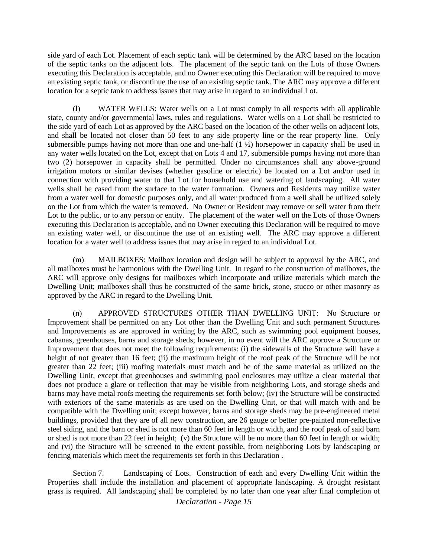side yard of each Lot. Placement of each septic tank will be determined by the ARC based on the location of the septic tanks on the adjacent lots. The placement of the septic tank on the Lots of those Owners executing this Declaration is acceptable, and no Owner executing this Declaration will be required to move an existing septic tank, or discontinue the use of an existing septic tank. The ARC may approve a different location for a septic tank to address issues that may arise in regard to an individual Lot.

(l) WATER WELLS: Water wells on a Lot must comply in all respects with all applicable state, county and/or governmental laws, rules and regulations. Water wells on a Lot shall be restricted to the side yard of each Lot as approved by the ARC based on the location of the other wells on adjacent lots, and shall be located not closer than 50 feet to any side property line or the rear property line. Only submersible pumps having not more than one and one-half  $(1<sup>1</sup>/<sub>2</sub>)$  horsepower in capacity shall be used in any water wells located on the Lot, except that on Lots 4 and 17, submersible pumps having not more than two (2) horsepower in capacity shall be permitted. Under no circumstances shall any above-ground irrigation motors or similar devises (whether gasoline or electric) be located on a Lot and/or used in connection with providing water to that Lot for household use and watering of landscaping. All water wells shall be cased from the surface to the water formation. Owners and Residents may utilize water from a water well for domestic purposes only, and all water produced from a well shall be utilized solely on the Lot from which the water is removed. No Owner or Resident may remove or sell water from their Lot to the public, or to any person or entity. The placement of the water well on the Lots of those Owners executing this Declaration is acceptable, and no Owner executing this Declaration will be required to move an existing water well, or discontinue the use of an existing well. The ARC may approve a different location for a water well to address issues that may arise in regard to an individual Lot.

(m) MAILBOXES: Mailbox location and design will be subject to approval by the ARC, and all mailboxes must be harmonious with the Dwelling Unit. In regard to the construction of mailboxes, the ARC will approve only designs for mailboxes which incorporate and utilize materials which match the Dwelling Unit; mailboxes shall thus be constructed of the same brick, stone, stucco or other masonry as approved by the ARC in regard to the Dwelling Unit.

(n) APPROVED STRUCTURES OTHER THAN DWELLING UNIT: No Structure or Improvement shall be permitted on any Lot other than the Dwelling Unit and such permanent Structures and Improvements as are approved in writing by the ARC, such as swimming pool equipment houses, cabanas, greenhouses, barns and storage sheds; however, in no event will the ARC approve a Structure or Improvement that does not meet the following requirements: (i) the sidewalls of the Structure will have a height of not greater than 16 feet; (ii) the maximum height of the roof peak of the Structure will be not greater than 22 feet; (iii) roofing materials must match and be of the same material as utilized on the Dwelling Unit, except that greenhouses and swimming pool enclosures may utilize a clear material that does not produce a glare or reflection that may be visible from neighboring Lots, and storage sheds and barns may have metal roofs meeting the requirements set forth below; (iv) the Structure will be constructed with exteriors of the same materials as are used on the Dwelling Unit, or that will match with and be compatible with the Dwelling unit; except however, barns and storage sheds may be pre-engineered metal buildings, provided that they are of all new construction, are 26 gauge or better pre-painted non-reflective steel siding, and the barn or shed is not more than 60 feet in length or width, and the roof peak of said barn or shed is not more than 22 feet in height; (v) the Structure will be no more than 60 feet in length or width; and (vi) the Structure will be screened to the extent possible, from neighboring Lots by landscaping or fencing materials which meet the requirements set forth in this Declaration .

Section 7. Landscaping of Lots. Construction of each and every Dwelling Unit within the Properties shall include the installation and placement of appropriate landscaping. A drought resistant grass is required. All landscaping shall be completed by no later than one year after final completion of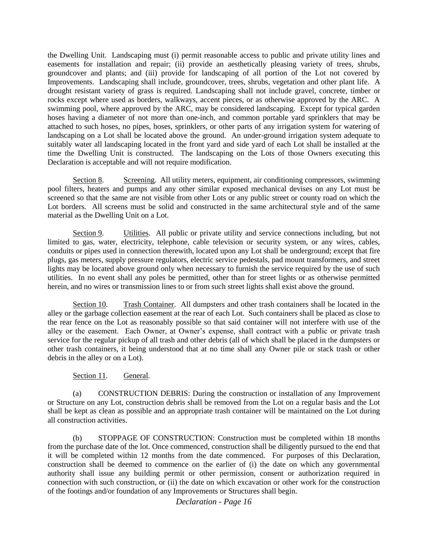the Dwelling Unit. Landscaping must (i) permit reasonable access to public and private utility lines and easements for installation and repair; (ii) provide an aesthetically pleasing variety of trees, shrubs, groundcover and plants; and (iii) provide for landscaping of all portion of the Lot not covered by Improvements. Landscaping shall include, groundcover, trees, shrubs, vegetation and other plant life. A drought resistant variety of grass is required. Landscaping shall not include gravel, concrete, timber or rocks except where used as borders, walkways, accent pieces, or as otherwise approved by the ARC. A swimming pool, where approved by the ARC, may be considered landscaping. Except for typical garden hoses having a diameter of not more than one-inch, and common portable yard sprinklers that may be attached to such hoses, no pipes, hoses, sprinklers, or other parts of any irrigation system for watering of landscaping on a Lot shall be located above the ground. An under-ground irrigation system adequate to suitably water all landscaping located in the front yard and side yard of each Lot shall be installed at the time the Dwelling Unit is constructed. The landscaping on the Lots of those Owners executing this Declaration is acceptable and will not require modification.

Section 8. Screening. All utility meters, equipment, air conditioning compressors, swimming pool filters, heaters and pumps and any other similar exposed mechanical devises on any Lot must be screened so that the same are not visible from other Lots or any public street or county road on which the Lot borders. All screens must be solid and constructed in the same architectural style and of the same material as the Dwelling Unit on a Lot.

Section 9. Utilities. All public or private utility and service connections including, but not limited to gas, water, electricity, telephone, cable television or security system, or any wires, cables, conduits or pipes used in connection therewith, located upon any Lot shall be underground; except that fire plugs, gas meters, supply pressure regulators, electric service pedestals, pad mount transformers, and street lights may be located above ground only when necessary to furnish the service required by the use of such utilities. In no event shall any poles be permitted, other than for street lights or as otherwise permitted herein, and no wires or transmission lines to or from such street lights shall exist above the ground.

Section 10. Trash Container. All dumpsters and other trash containers shall be located in the alley or the garbage collection easement at the rear of each Lot. Such containers shall be placed as close to the rear fence on the Lot as reasonably possible so that said container will not interfere with use of the alley or the easement. Each Owner, at Owner's expense, shall contract with a public or private trash service for the regular pickup of all trash and other debris (all of which shall be placed in the dumpsters or other trash containers, it being understood that at no time shall any Owner pile or stack trash or other debris in the alley or on a Lot).

#### Section 11. General.

(a) CONSTRUCTION DEBRIS: During the construction or installation of any Improvement or Structure on any Lot, construction debris shall be removed from the Lot on a regular basis and the Lot shall be kept as clean as possible and an appropriate trash container will be maintained on the Lot during all construction activities.

(b) STOPPAGE OF CONSTRUCTION: Construction must be completed within 18 months from the purchase date of the lot. Once commenced, construction shall be diligently pursued to the end that it will be completed within 12 months from the date commenced. For purposes of this Declaration, construction shall be deemed to commence on the earlier of (i) the date on which any governmental authority shall issue any building permit or other permission, consent or authorization required in connection with such construction, or (ii) the date on which excavation or other work for the construction of the footings and/or foundation of any Improvements or Structures shall begin.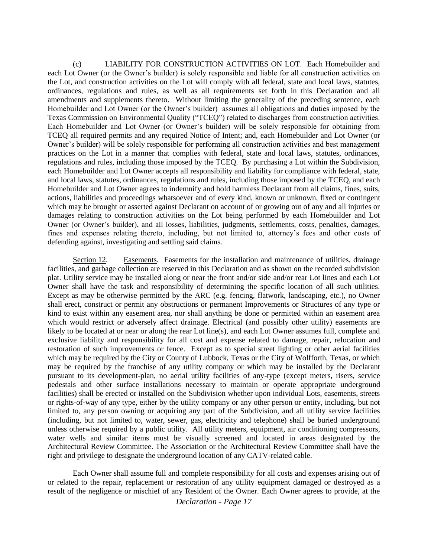(c) LIABILITY FOR CONSTRUCTION ACTIVITIES ON LOT. Each Homebuilder and each Lot Owner (or the Owner's builder) is solely responsible and liable for all construction activities on the Lot, and construction activities on the Lot will comply with all federal, state and local laws, statutes, ordinances, regulations and rules, as well as all requirements set forth in this Declaration and all amendments and supplements thereto. Without limiting the generality of the preceding sentence, each Homebuilder and Lot Owner (or the Owner's builder) assumes all obligations and duties imposed by the Texas Commission on Environmental Quality ("TCEQ") related to discharges from construction activities. Each Homebuilder and Lot Owner (or Owner's builder) will be solely responsible for obtaining from TCEQ all required permits and any required Notice of Intent; and, each Homebuilder and Lot Owner (or Owner's builder) will be solely responsible for performing all construction activities and best management practices on the Lot in a manner that complies with federal, state and local laws, statutes, ordinances, regulations and rules, including those imposed by the TCEQ. By purchasing a Lot within the Subdivision, each Homebuilder and Lot Owner accepts all responsibility and liability for compliance with federal, state, and local laws, statutes, ordinances, regulations and rules, including those imposed by the TCEQ, and each Homebuilder and Lot Owner agrees to indemnify and hold harmless Declarant from all claims, fines, suits, actions, liabilities and proceedings whatsoever and of every kind, known or unknown, fixed or contingent which may be brought or asserted against Declarant on account of or growing out of any and all injuries or damages relating to construction activities on the Lot being performed by each Homebuilder and Lot Owner (or Owner's builder), and all losses, liabilities, judgments, settlements, costs, penalties, damages, fines and expenses relating thereto, including, but not limited to, attorney's fees and other costs of defending against, investigating and settling said claims.

Section 12. Easements. Easements for the installation and maintenance of utilities, drainage facilities, and garbage collection are reserved in this Declaration and as shown on the recorded subdivision plat. Utility service may be installed along or near the front and/or side and/or rear Lot lines and each Lot Owner shall have the task and responsibility of determining the specific location of all such utilities. Except as may be otherwise permitted by the ARC (e.g. fencing, flatwork, landscaping, etc.), no Owner shall erect, construct or permit any obstructions or permanent Improvements or Structures of any type or kind to exist within any easement area, nor shall anything be done or permitted within an easement area which would restrict or adversely affect drainage. Electrical (and possibly other utility) easements are likely to be located at or near or along the rear Lot line(s), and each Lot Owner assumes full, complete and exclusive liability and responsibility for all cost and expense related to damage, repair, relocation and restoration of such improvements or fence. Except as to special street lighting or other aerial facilities which may be required by the City or County of Lubbock, Texas or the City of Wolfforth, Texas, or which may be required by the franchise of any utility company or which may be installed by the Declarant pursuant to its development-plan, no aerial utility facilities of any-type (except meters, risers, service pedestals and other surface installations necessary to maintain or operate appropriate underground facilities) shall be erected or installed on the Subdivision whether upon individual Lots, easements, streets or rights-of-way of any type, either by the utility company or any other person or entity, including, but not limited to, any person owning or acquiring any part of the Subdivision, and all utility service facilities (including, but not limited to, water, sewer, gas, electricity and telephone) shall be buried underground unless otherwise required by a public utility. All utility meters, equipment, air conditioning compressors, water wells and similar items must be visually screened and located in areas designated by the Architectural Review Committee. The Association or the Architectural Review Committee shall have the right and privilege to designate the underground location of any CATV-related cable.

Each Owner shall assume full and complete responsibility for all costs and expenses arising out of or related to the repair, replacement or restoration of any utility equipment damaged or destroyed as a result of the negligence or mischief of any Resident of the Owner. Each Owner agrees to provide, at the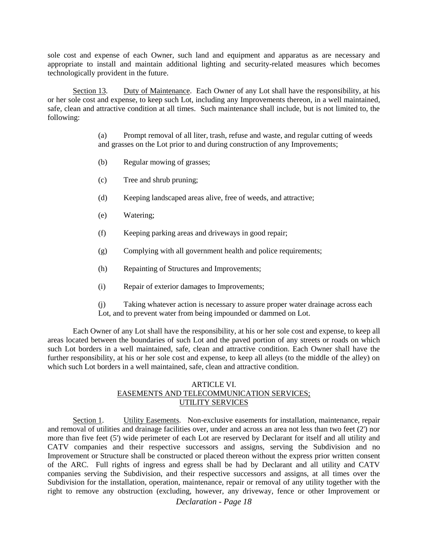sole cost and expense of each Owner, such land and equipment and apparatus as are necessary and appropriate to install and maintain additional lighting and security-related measures which becomes technologically provident in the future.

Section 13. Duty of Maintenance. Each Owner of any Lot shall have the responsibility, at his or her sole cost and expense, to keep such Lot, including any Improvements thereon, in a well maintained, safe, clean and attractive condition at all times. Such maintenance shall include, but is not limited to, the following:

> (a) Prompt removal of all liter, trash, refuse and waste, and regular cutting of weeds and grasses on the Lot prior to and during construction of any Improvements;

- (b) Regular mowing of grasses;
- (c) Tree and shrub pruning;
- (d) Keeping landscaped areas alive, free of weeds, and attractive;
- (e) Watering;
- (f) Keeping parking areas and driveways in good repair;
- (g) Complying with all government health and police requirements;
- (h) Repainting of Structures and Improvements;
- (i) Repair of exterior damages to Improvements;
- (j) Taking whatever action is necessary to assure proper water drainage across each Lot, and to prevent water from being impounded or dammed on Lot.

Each Owner of any Lot shall have the responsibility, at his or her sole cost and expense, to keep all areas located between the boundaries of such Lot and the paved portion of any streets or roads on which such Lot borders in a well maintained, safe, clean and attractive condition. Each Owner shall have the further responsibility, at his or her sole cost and expense, to keep all alleys (to the middle of the alley) on which such Lot borders in a well maintained, safe, clean and attractive condition.

#### ARTICLE VI. EASEMENTS AND TELECOMMUNICATION SERVICES; UTILITY SERVICES

Section 1. Utility Easements. Non-exclusive easements for installation, maintenance, repair and removal of utilities and drainage facilities over, under and across an area not less than two feet (2') nor more than five feet (5') wide perimeter of each Lot are reserved by Declarant for itself and all utility and CATV companies and their respective successors and assigns, serving the Subdivision and no Improvement or Structure shall be constructed or placed thereon without the express prior written consent of the ARC. Full rights of ingress and egress shall be had by Declarant and all utility and CATV companies serving the Subdivision, and their respective successors and assigns, at all times over the Subdivision for the installation, operation, maintenance, repair or removal of any utility together with the right to remove any obstruction (excluding, however, any driveway, fence or other Improvement or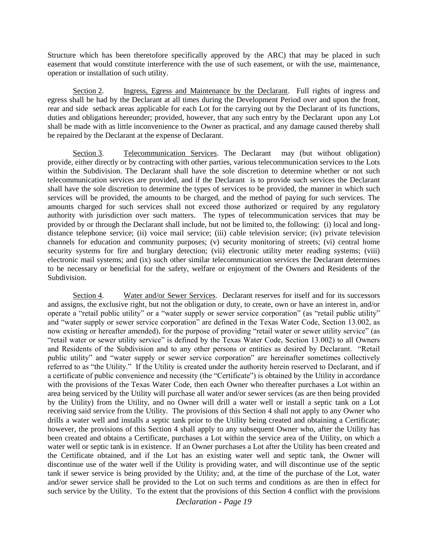Structure which has been theretofore specifically approved by the ARC) that may be placed in such easement that would constitute interference with the use of such easement, or with the use, maintenance, operation or installation of such utility.

Section 2. Ingress, Egress and Maintenance by the Declarant. Full rights of ingress and egress shall be had by the Declarant at all times during the Development Period over and upon the front, rear and side setback areas applicable for each Lot for the carrying out by the Declarant of its functions, duties and obligations hereunder; provided, however, that any such entry by the Declarant upon any Lot shall be made with as little inconvenience to the Owner as practical, and any damage caused thereby shall be repaired by the Declarant at the expense of Declarant.

Section 3. Telecommunication Services. The Declarant may (but without obligation) provide, either directly or by contracting with other parties, various telecommunication services to the Lots within the Subdivision. The Declarant shall have the sole discretion to determine whether or not such telecommunication services are provided, and if the Declarant is to provide such services the Declarant shall have the sole discretion to determine the types of services to be provided, the manner in which such services will be provided, the amounts to be charged, and the method of paying for such services. The amounts charged for such services shall not exceed those authorized or required by any regulatory authority with jurisdiction over such matters. The types of telecommunication services that may be provided by or through the Declarant shall include, but not be limited to, the following: (i) local and longdistance telephone service; (ii) voice mail service; (iii) cable television service; (iv) private television channels for education and community purposes; (v) security monitoring of streets; (vi) central home security systems for fire and burglary detection; (vii) electronic utility meter reading systems; (viii) electronic mail systems; and (ix) such other similar telecommunication services the Declarant determines to be necessary or beneficial for the safety, welfare or enjoyment of the Owners and Residents of the Subdivision.

Section 4. Water and/or Sewer Services. Declarant reserves for itself and for its successors and assigns, the exclusive right, but not the obligation or duty, to create, own or have an interest in, and/or operate a "retail public utility" or a "water supply or sewer service corporation" (as "retail public utility" and "water supply or sewer service corporation" are defined in the Texas Water Code, Section 13.002, as now existing or hereafter amended), for the purpose of providing "retail water or sewer utility service" (as "retail water or sewer utility service" is defined by the Texas Water Code, Section 13.002) to all Owners and Residents of the Subdivision and to any other persons or entities as desired by Declarant. "Retail public utility" and "water supply or sewer service corporation" are hereinafter sometimes collectively referred to as "the Utility." If the Utility is created under the authority herein reserved to Declarant, and if a certificate of public convenience and necessity (the "Certificate") is obtained by the Utility in accordance with the provisions of the Texas Water Code, then each Owner who thereafter purchases a Lot within an area being serviced by the Utility will purchase all water and/or sewer services (as are then being provided by the Utility) from the Utility, and no Owner will drill a water well or install a septic tank on a Lot receiving said service from the Utility. The provisions of this Section 4 shall not apply to any Owner who drills a water well and installs a septic tank prior to the Utility being created and obtaining a Certificate; however, the provisions of this Section 4 shall apply to any subsequent Owner who, after the Utility has been created and obtains a Certificate, purchases a Lot within the service area of the Utility, on which a water well or septic tank is in existence. If an Owner purchases a Lot after the Utility has been created and the Certificate obtained, and if the Lot has an existing water well and septic tank, the Owner will discontinue use of the water well if the Utility is providing water, and will discontinue use of the septic tank if sewer service is being provided by the Utility; and, at the time of the purchase of the Lot, water and/or sewer service shall be provided to the Lot on such terms and conditions as are then in effect for such service by the Utility. To the extent that the provisions of this Section 4 conflict with the provisions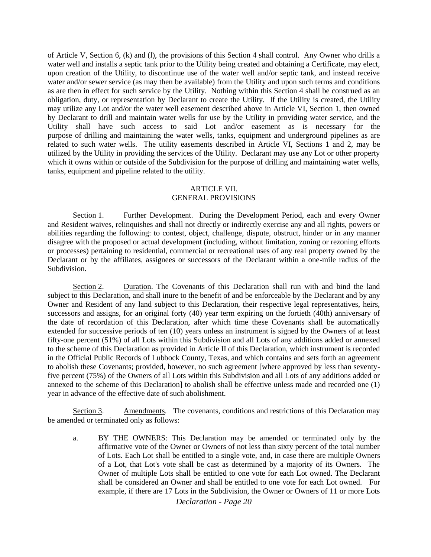of Article V, Section 6, (k) and (l), the provisions of this Section 4 shall control. Any Owner who drills a water well and installs a septic tank prior to the Utility being created and obtaining a Certificate, may elect, upon creation of the Utility, to discontinue use of the water well and/or septic tank, and instead receive water and/or sewer service (as may then be available) from the Utility and upon such terms and conditions as are then in effect for such service by the Utility. Nothing within this Section 4 shall be construed as an obligation, duty, or representation by Declarant to create the Utility. If the Utility is created, the Utility may utilize any Lot and/or the water well easement described above in Article VI, Section 1, then owned by Declarant to drill and maintain water wells for use by the Utility in providing water service, and the Utility shall have such access to said Lot and/or easement as is necessary for the purpose of drilling and maintaining the water wells, tanks, equipment and underground pipelines as are related to such water wells. The utility easements described in Article VI, Sections 1 and 2, may be utilized by the Utility in providing the services of the Utility. Declarant may use any Lot or other property which it owns within or outside of the Subdivision for the purpose of drilling and maintaining water wells, tanks, equipment and pipeline related to the utility.

#### ARTICLE VII. GENERAL PROVISIONS

Section 1. Further Development. During the Development Period, each and every Owner and Resident waives, relinquishes and shall not directly or indirectly exercise any and all rights, powers or abilities regarding the following: to contest, object, challenge, dispute, obstruct, hinder or in any manner disagree with the proposed or actual development (including, without limitation, zoning or rezoning efforts or processes) pertaining to residential, commercial or recreational uses of any real property owned by the Declarant or by the affiliates, assignees or successors of the Declarant within a one-mile radius of the Subdivision.

Section 2. Duration. The Covenants of this Declaration shall run with and bind the land subject to this Declaration, and shall inure to the benefit of and be enforceable by the Declarant and by any Owner and Resident of any land subject to this Declaration, their respective legal representatives, heirs, successors and assigns, for an original forty (40) year term expiring on the fortieth (40th) anniversary of the date of recordation of this Declaration, after which time these Covenants shall be automatically extended for successive periods of ten (10) years unless an instrument is signed by the Owners of at least fifty-one percent (51%) of all Lots within this Subdivision and all Lots of any additions added or annexed to the scheme of this Declaration as provided in Article II of this Declaration, which instrument is recorded in the Official Public Records of Lubbock County, Texas, and which contains and sets forth an agreement to abolish these Covenants; provided, however, no such agreement [where approved by less than seventyfive percent (75%) of the Owners of all Lots within this Subdivision and all Lots of any additions added or annexed to the scheme of this Declaration] to abolish shall be effective unless made and recorded one (1) year in advance of the effective date of such abolishment.

Section 3. Amendments. The covenants, conditions and restrictions of this Declaration may be amended or terminated only as follows:

a. BY THE OWNERS: This Declaration may be amended or terminated only by the affirmative vote of the Owner or Owners of not less than sixty percent of the total number of Lots. Each Lot shall be entitled to a single vote, and, in case there are multiple Owners of a Lot, that Lot's vote shall be cast as determined by a majority of its Owners. The Owner of multiple Lots shall be entitled to one vote for each Lot owned. The Declarant shall be considered an Owner and shall be entitled to one vote for each Lot owned. For example, if there are 17 Lots in the Subdivision, the Owner or Owners of 11 or more Lots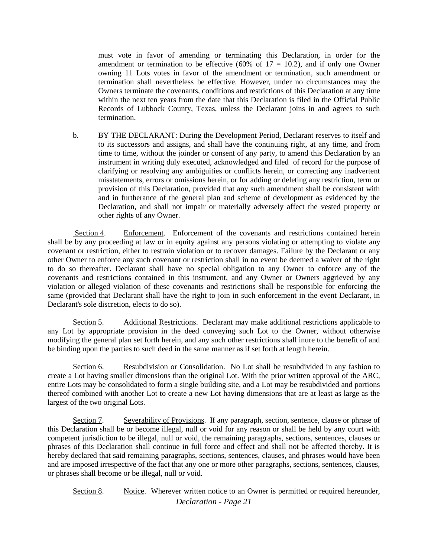must vote in favor of amending or terminating this Declaration, in order for the amendment or termination to be effective (60% of  $17 = 10.2$ ), and if only one Owner owning 11 Lots votes in favor of the amendment or termination, such amendment or termination shall nevertheless be effective. However, under no circumstances may the Owners terminate the covenants, conditions and restrictions of this Declaration at any time within the next ten years from the date that this Declaration is filed in the Official Public Records of Lubbock County, Texas, unless the Declarant joins in and agrees to such termination.

b. BY THE DECLARANT: During the Development Period, Declarant reserves to itself and to its successors and assigns, and shall have the continuing right, at any time, and from time to time, without the joinder or consent of any party, to amend this Declaration by an instrument in writing duly executed, acknowledged and filed of record for the purpose of clarifying or resolving any ambiguities or conflicts herein, or correcting any inadvertent misstatements, errors or omissions herein, or for adding or deleting any restriction, term or provision of this Declaration, provided that any such amendment shall be consistent with and in furtherance of the general plan and scheme of development as evidenced by the Declaration, and shall not impair or materially adversely affect the vested property or other rights of any Owner.

Section 4. Enforcement.Enforcement of the covenants and restrictions contained herein shall be by any proceeding at law or in equity against any persons violating or attempting to violate any covenant or restriction, either to restrain violation or to recover damages. Failure by the Declarant or any other Owner to enforce any such covenant or restriction shall in no event be deemed a waiver of the right to do so thereafter. Declarant shall have no special obligation to any Owner to enforce any of the covenants and restrictions contained in this instrument, and any Owner or Owners aggrieved by any violation or alleged violation of these covenants and restrictions shall be responsible for enforcing the same (provided that Declarant shall have the right to join in such enforcement in the event Declarant, in Declarant's sole discretion, elects to do so).

Section 5. Additional Restrictions.Declarant may make additional restrictions applicable to any Lot by appropriate provision in the deed conveying such Lot to the Owner, without otherwise modifying the general plan set forth herein, and any such other restrictions shall inure to the benefit of and be binding upon the parties to such deed in the same manner as if set forth at length herein.

Section 6. Resubdivision or Consolidation. No Lot shall be resubdivided in any fashion to create a Lot having smaller dimensions than the original Lot. With the prior written approval of the ARC, entire Lots may be consolidated to form a single building site, and a Lot may be resubdivided and portions thereof combined with another Lot to create a new Lot having dimensions that are at least as large as the largest of the two original Lots.

Section 7. Severability of Provisions.If any paragraph, section, sentence, clause or phrase of this Declaration shall be or become illegal, null or void for any reason or shall be held by any court with competent jurisdiction to be illegal, null or void, the remaining paragraphs, sections, sentences, clauses or phrases of this Declaration shall continue in full force and effect and shall not be affected thereby. It is hereby declared that said remaining paragraphs, sections, sentences, clauses, and phrases would have been and are imposed irrespective of the fact that any one or more other paragraphs, sections, sentences, clauses, or phrases shall become or be illegal, null or void.

*Declaration - Page 21* Section 8. Notice. Wherever written notice to an Owner is permitted or required hereunder,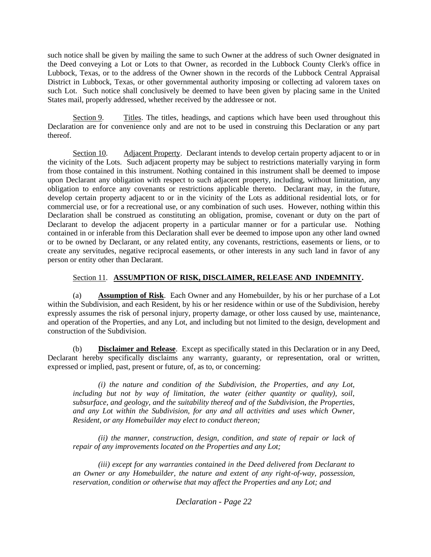such notice shall be given by mailing the same to such Owner at the address of such Owner designated in the Deed conveying a Lot or Lots to that Owner, as recorded in the Lubbock County Clerk's office in Lubbock, Texas, or to the address of the Owner shown in the records of the Lubbock Central Appraisal District in Lubbock, Texas, or other governmental authority imposing or collecting ad valorem taxes on such Lot. Such notice shall conclusively be deemed to have been given by placing same in the United States mail, properly addressed, whether received by the addressee or not.

Section 9. Titles. The titles, headings, and captions which have been used throughout this Declaration are for convenience only and are not to be used in construing this Declaration or any part thereof.

Section 10. Adjacent Property. Declarant intends to develop certain property adjacent to or in the vicinity of the Lots. Such adjacent property may be subject to restrictions materially varying in form from those contained in this instrument. Nothing contained in this instrument shall be deemed to impose upon Declarant any obligation with respect to such adjacent property, including, without limitation, any obligation to enforce any covenants or restrictions applicable thereto. Declarant may, in the future, develop certain property adjacent to or in the vicinity of the Lots as additional residential lots, or for commercial use, or for a recreational use, or any combination of such uses. However, nothing within this Declaration shall be construed as constituting an obligation, promise, covenant or duty on the part of Declarant to develop the adjacent property in a particular manner or for a particular use. Nothing contained in or inferable from this Declaration shall ever be deemed to impose upon any other land owned or to be owned by Declarant, or any related entity, any covenants, restrictions, easements or liens, or to create any servitudes, negative reciprocal easements, or other interests in any such land in favor of any person or entity other than Declarant.

## Section 11. **ASSUMPTION OF RISK, DISCLAIMER, RELEASE AND INDEMNITY.**

(a) **Assumption of Risk**. Each Owner and any Homebuilder, by his or her purchase of a Lot within the Subdivision, and each Resident, by his or her residence within or use of the Subdivision, hereby expressly assumes the risk of personal injury, property damage, or other loss caused by use, maintenance, and operation of the Properties, and any Lot, and including but not limited to the design, development and construction of the Subdivision.

(b) **Disclaimer and Release**. Except as specifically stated in this Declaration or in any Deed, Declarant hereby specifically disclaims any warranty, guaranty, or representation, oral or written, expressed or implied, past, present or future, of, as to, or concerning:

*(i) the nature and condition of the Subdivision, the Properties, and any Lot, including but not by way of limitation, the water (either quantity or quality), soil, subsurface, and geology, and the suitability thereof and of the Subdivision, the Properties, and any Lot within the Subdivision, for any and all activities and uses which Owner, Resident, or any Homebuilder may elect to conduct thereon;* 

*(ii) the manner, construction, design, condition, and state of repair or lack of repair of any improvements located on the Properties and any Lot;* 

*(iii) except for any warranties contained in the Deed delivered from Declarant to an Owner or any Homebuilder, the nature and extent of any right-of-way, possession, reservation, condition or otherwise that may affect the Properties and any Lot; and*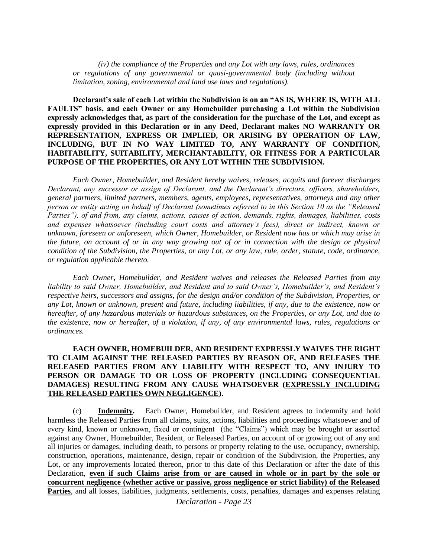*(iv) the compliance of the Properties and any Lot with any laws, rules, ordinances or regulations of any governmental or quasi-governmental body (including without limitation, zoning, environmental and land use laws and regulations).*

**Declarant's sale of each Lot within the Subdivision is on an "AS IS, WHERE IS, WITH ALL FAULTS" basis, and each Owner or any Homebuilder purchasing a Lot within the Subdivision expressly acknowledges that, as part of the consideration for the purchase of the Lot, and except as expressly provided in this Declaration or in any Deed, Declarant makes NO WARRANTY OR REPRESENTATION, EXPRESS OR IMPLIED, OR ARISING BY OPERATION OF LAW, INCLUDING, BUT IN NO WAY LIMITED TO, ANY WARRANTY OF CONDITION, HABITABILITY, SUITABILITY, MERCHANTABILITY, OR FITNESS FOR A PARTICULAR PURPOSE OF THE PROPERTIES, OR ANY LOT WITHIN THE SUBDIVISION.**

*Each Owner, Homebuilder, and Resident hereby waives, releases, acquits and forever discharges Declarant, any successor or assign of Declarant, and the Declarant's directors, officers, shareholders, general partners, limited partners, members, agents, employees, representatives, attorneys and any other person or entity acting on behalf of Declarant (sometimes referred to in this Section 10 as the "Released Parties"), of and from, any claims, actions, causes of action, demands, rights, damages, liabilities, costs and expenses whatsoever (including court costs and attorney's fees), direct or indirect, known or unknown, foreseen or unforeseen, which Owner, Homebuilder, or Resident now has or which may arise in the future, on account of or in any way growing out of or in connection with the design or physical condition of the Subdivision, the Properties, or any Lot, or any law, rule, order, statute, code, ordinance, or regulation applicable thereto.* 

*Each Owner, Homebuilder, and Resident waives and releases the Released Parties from any liability to said Owner, Homebuilder, and Resident and to said Owner's, Homebuilder's, and Resident's respective heirs, successors and assigns, for the design and/or condition of the Subdivision, Properties, or any Lot, known or unknown, present and future, including liabilities, if any, due to the existence, now or hereafter, of any hazardous materials or hazardous substances, on the Properties, or any Lot, and due to the existence, now or hereafter, of a violation, if any, of any environmental laws, rules, regulations or ordinances.*

### **EACH OWNER, HOMEBUILDER, AND RESIDENT EXPRESSLY WAIVES THE RIGHT TO CLAIM AGAINST THE RELEASED PARTIES BY REASON OF, AND RELEASES THE RELEASED PARTIES FROM ANY LIABILITY WITH RESPECT TO, ANY INJURY TO PERSON OR DAMAGE TO OR LOSS OF PROPERTY (INCLUDING CONSEQUENTIAL DAMAGES) RESULTING FROM ANY CAUSE WHATSOEVER (EXPRESSLY INCLUDING THE RELEASED PARTIES OWN NEGLIGENCE).**

(c) **Indemnity.** Each Owner, Homebuilder, and Resident agrees to indemnify and hold harmless the Released Parties from all claims, suits, actions, liabilities and proceedings whatsoever and of every kind, known or unknown, fixed or contingent (the "Claims") which may be brought or asserted against any Owner, Homebuilder, Resident, or Released Parties, on account of or growing out of any and all injuries or damages, including death, to persons or property relating to the use, occupancy, ownership, construction, operations, maintenance, design, repair or condition of the Subdivision, the Properties, any Lot, or any improvements located thereon, prior to this date of this Declaration or after the date of this Declaration, **even if such Claims arise from or are caused in whole or in part by the sole or concurrent negligence (whether active or passive, gross negligence or strict liability) of the Released**  Parties, and all losses, liabilities, judgments, settlements, costs, penalties, damages and expenses relating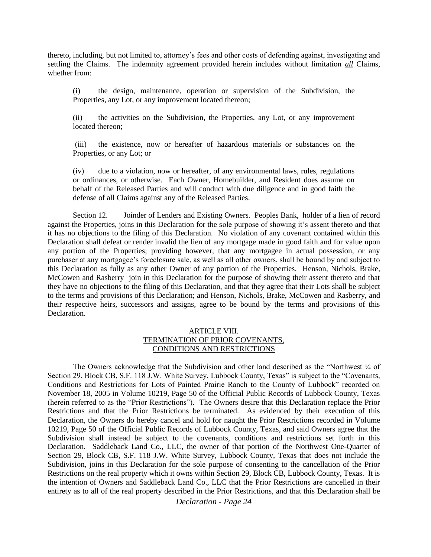thereto, including, but not limited to, attorney's fees and other costs of defending against, investigating and settling the Claims. The indemnity agreement provided herein includes without limitation *all* Claims, whether from:

(i) the design, maintenance, operation or supervision of the Subdivision, the Properties, any Lot, or any improvement located thereon;

(ii) the activities on the Subdivision, the Properties, any Lot, or any improvement located thereon;

(iii) the existence, now or hereafter of hazardous materials or substances on the Properties, or any Lot; or

(iv) due to a violation, now or hereafter, of any environmental laws, rules, regulations or ordinances, or otherwise. Each Owner, Homebuilder, and Resident does assume on behalf of the Released Parties and will conduct with due diligence and in good faith the defense of all Claims against any of the Released Parties.

Section 12. Joinder of Lenders and Existing Owners. Peoples Bank, holder of a lien of record against the Properties, joins in this Declaration for the sole purpose of showing it's assent thereto and that it has no objections to the filing of this Declaration. No violation of any covenant contained within this Declaration shall defeat or render invalid the lien of any mortgage made in good faith and for value upon any portion of the Properties; providing however, that any mortgagee in actual possession, or any purchaser at any mortgagee's foreclosure sale, as well as all other owners, shall be bound by and subject to this Declaration as fully as any other Owner of any portion of the Properties. Henson, Nichols, Brake, McCowen and Rasberry join in this Declaration for the purpose of showing their assent thereto and that they have no objections to the filing of this Declaration, and that they agree that their Lots shall be subject to the terms and provisions of this Declaration; and Henson, Nichols, Brake, McCowen and Rasberry, and their respective heirs, successors and assigns, agree to be bound by the terms and provisions of this Declaration.

#### ARTICLE VIII. TERMINATION OF PRIOR COVENANTS, CONDITIONS AND RESTRICTIONS

The Owners acknowledge that the Subdivision and other land described as the "Northwest  $\frac{1}{4}$  of Section 29, Block CB, S.F. 118 J.W. White Survey, Lubbock County, Texas" is subject to the "Covenants, Conditions and Restrictions for Lots of Painted Prairie Ranch to the County of Lubbock" recorded on November 18, 2005 in Volume 10219, Page 50 of the Official Public Records of Lubbock County, Texas (herein referred to as the "Prior Restrictions"). The Owners desire that this Declaration replace the Prior Restrictions and that the Prior Restrictions be terminated. As evidenced by their execution of this Declaration, the Owners do hereby cancel and hold for naught the Prior Restrictions recorded in Volume 10219, Page 50 of the Official Public Records of Lubbock County, Texas, and said Owners agree that the Subdivision shall instead be subject to the covenants, conditions and restrictions set forth in this Declaration. Saddleback Land Co., LLC, the owner of that portion of the Northwest One-Quarter of Section 29, Block CB, S.F. 118 J.W. White Survey, Lubbock County, Texas that does not include the Subdivision, joins in this Declaration for the sole purpose of consenting to the cancellation of the Prior Restrictions on the real property which it owns within Section 29, Block CB, Lubbock County, Texas. It is the intention of Owners and Saddleback Land Co., LLC that the Prior Restrictions are cancelled in their entirety as to all of the real property described in the Prior Restrictions, and that this Declaration shall be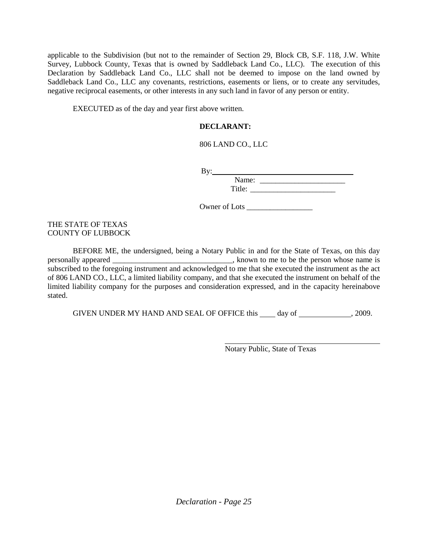applicable to the Subdivision (but not to the remainder of Section 29, Block CB, S.F. 118, J.W. White Survey, Lubbock County, Texas that is owned by Saddleback Land Co., LLC). The execution of this Declaration by Saddleback Land Co., LLC shall not be deemed to impose on the land owned by Saddleback Land Co., LLC any covenants, restrictions, easements or liens, or to create any servitudes, negative reciprocal easements, or other interests in any such land in favor of any person or entity.

EXECUTED as of the day and year first above written.

## **DECLARANT:**

## 806 LAND CO., LLC

 $By:$ 

Name: \_\_\_\_\_\_\_\_\_\_\_\_\_\_\_\_\_\_\_\_\_\_ Title: \_\_\_\_\_\_\_\_\_\_\_\_\_\_\_\_\_\_\_\_\_\_

Owner of Lots \_\_\_\_\_\_\_\_\_\_\_\_\_\_\_\_\_

## THE STATE OF TEXAS COUNTY OF LUBBOCK

BEFORE ME, the undersigned, being a Notary Public in and for the State of Texas, on this day personally appeared \_\_\_\_\_\_\_\_\_\_\_\_\_\_\_\_\_\_\_\_\_\_\_\_\_\_\_\_\_\_\_\_\_\_\_, known to me to be the person whose name is subscribed to the foregoing instrument and acknowledged to me that she executed the instrument as the act of 806 LAND CO., LLC, a limited liability company, and that she executed the instrument on behalf of the limited liability company for the purposes and consideration expressed, and in the capacity hereinabove stated.

GIVEN UNDER MY HAND AND SEAL OF OFFICE this  $\_\_\_\_$  day of  $\_\_\_\_\_\_$ , 2009.

Notary Public, State of Texas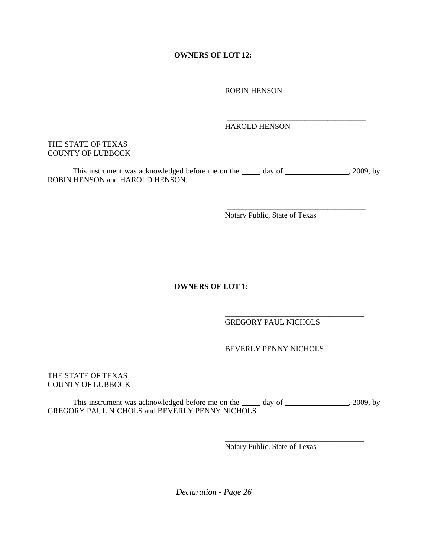**OWNERS OF LOT 12:** 

\_\_\_\_\_\_\_\_\_\_\_\_\_\_\_\_\_\_\_\_\_\_\_\_\_\_\_\_\_\_\_\_\_\_\_\_ ROBIN HENSON

## HAROLD HENSON

\_\_\_\_\_\_\_\_\_\_\_\_\_\_\_\_\_\_\_\_\_\_\_\_\_\_\_\_\_\_\_\_\_\_\_\_

\_\_\_\_\_\_\_\_\_\_\_\_\_\_\_\_\_\_\_\_\_\_\_\_\_\_\_\_\_\_\_\_\_\_\_\_

\_\_\_\_\_\_\_\_\_\_\_\_\_\_\_\_\_\_\_\_\_\_\_\_\_\_\_\_\_\_\_\_\_\_\_\_

\_\_\_\_\_\_\_\_\_\_\_\_\_\_\_\_\_\_\_\_\_\_\_\_\_\_\_\_\_\_\_\_\_\_\_\_

## THE STATE OF TEXAS COUNTY OF LUBBOCK

This instrument was acknowledged before me on the \_\_\_\_\_ day of \_\_\_\_\_\_\_\_\_\_\_\_\_\_\_, 2009, by ROBIN HENSON and HAROLD HENSON.

Notary Public, State of Texas

**OWNERS OF LOT 1:** 

GREGORY PAUL NICHOLS

\_\_\_\_\_\_\_\_\_\_\_\_\_\_\_\_\_\_\_\_\_\_\_\_\_\_\_\_\_\_\_\_\_\_\_\_ BEVERLY PENNY NICHOLS

THE STATE OF TEXAS COUNTY OF LUBBOCK

This instrument was acknowledged before me on the  $\frac{d}{dx}$  day of  $\frac{1}{2009}$ , by GREGORY PAUL NICHOLS and BEVERLY PENNY NICHOLS.

Notary Public, State of Texas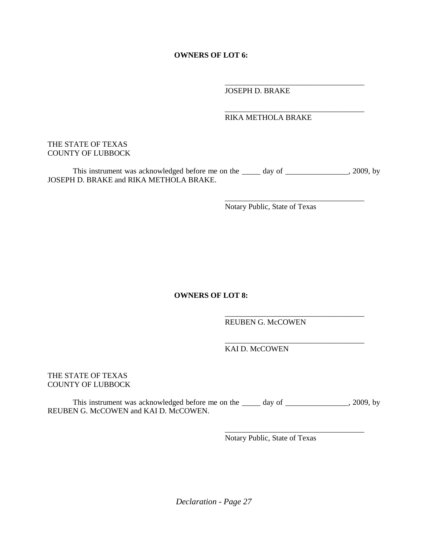**OWNERS OF LOT 6:** 

\_\_\_\_\_\_\_\_\_\_\_\_\_\_\_\_\_\_\_\_\_\_\_\_\_\_\_\_\_\_\_\_\_\_\_\_ JOSEPH D. BRAKE

## RIKA METHOLA BRAKE

\_\_\_\_\_\_\_\_\_\_\_\_\_\_\_\_\_\_\_\_\_\_\_\_\_\_\_\_\_\_\_\_\_\_\_\_

## THE STATE OF TEXAS COUNTY OF LUBBOCK

This instrument was acknowledged before me on the \_\_\_\_\_ day of \_\_\_\_\_\_\_\_\_\_\_\_\_\_\_, 2009, by JOSEPH D. BRAKE and RIKA METHOLA BRAKE.

> \_\_\_\_\_\_\_\_\_\_\_\_\_\_\_\_\_\_\_\_\_\_\_\_\_\_\_\_\_\_\_\_\_\_\_\_ Notary Public, State of Texas

## **OWNERS OF LOT 8:**

REUBEN G. McCOWEN

\_\_\_\_\_\_\_\_\_\_\_\_\_\_\_\_\_\_\_\_\_\_\_\_\_\_\_\_\_\_\_\_\_\_\_\_

\_\_\_\_\_\_\_\_\_\_\_\_\_\_\_\_\_\_\_\_\_\_\_\_\_\_\_\_\_\_\_\_\_\_\_\_

\_\_\_\_\_\_\_\_\_\_\_\_\_\_\_\_\_\_\_\_\_\_\_\_\_\_\_\_\_\_\_\_\_\_\_\_

KAI D. McCOWEN

## THE STATE OF TEXAS COUNTY OF LUBBOCK

This instrument was acknowledged before me on the  $\_\_\_$  day of  $\_\_\_\_\_$ , 2009, by REUBEN G. McCOWEN and KAI D. McCOWEN.

Notary Public, State of Texas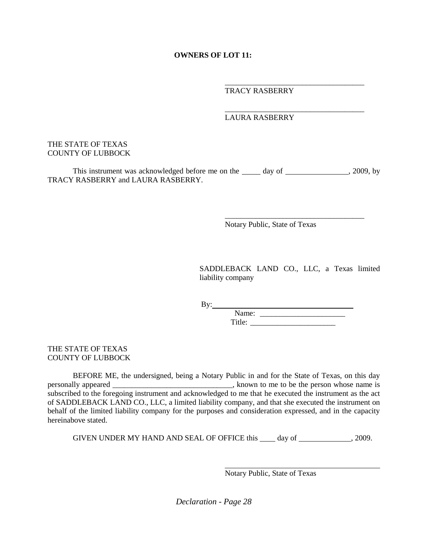## **OWNERS OF LOT 11:**

\_\_\_\_\_\_\_\_\_\_\_\_\_\_\_\_\_\_\_\_\_\_\_\_\_\_\_\_\_\_\_\_\_\_\_\_ TRACY RASBERRY

#### \_\_\_\_\_\_\_\_\_\_\_\_\_\_\_\_\_\_\_\_\_\_\_\_\_\_\_\_\_\_\_\_\_\_\_\_ LAURA RASBERRY

### THE STATE OF TEXAS COUNTY OF LUBBOCK

This instrument was acknowledged before me on the \_\_\_\_\_ day of \_\_\_\_\_\_\_\_\_\_\_\_\_\_\_, 2009, by TRACY RASBERRY and LAURA RASBERRY.

Notary Public, State of Texas

SADDLEBACK LAND CO., LLC, a Texas limited liability company

\_\_\_\_\_\_\_\_\_\_\_\_\_\_\_\_\_\_\_\_\_\_\_\_\_\_\_\_\_\_\_\_\_\_\_\_

 $By:$ 

Name: \_\_\_\_\_\_\_\_\_\_\_\_\_\_\_\_\_\_\_\_\_\_ Title: \_\_\_\_\_\_\_\_\_\_\_\_\_\_\_\_\_\_\_\_\_\_

THE STATE OF TEXAS COUNTY OF LUBBOCK

BEFORE ME, the undersigned, being a Notary Public in and for the State of Texas, on this day personally appeared \_\_\_\_\_\_\_\_\_\_\_\_\_\_\_\_\_\_\_\_\_\_\_\_\_\_\_\_\_\_\_\_\_\_, known to me to be the person whose name is subscribed to the foregoing instrument and acknowledged to me that he executed the instrument as the act of SADDLEBACK LAND CO., LLC, a limited liability company, and that she executed the instrument on behalf of the limited liability company for the purposes and consideration expressed, and in the capacity hereinabove stated.

GIVEN UNDER MY HAND AND SEAL OF OFFICE this  $\_\_\_\_$  day of  $\_\_\_\_\_$ , 2009.

Notary Public, State of Texas